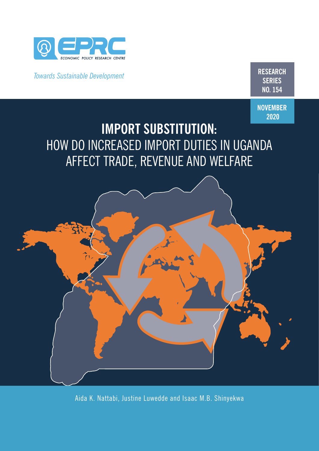

*Towards Sustainable Development* **RESEARCH**

**SERIES NO. 154**

**NOVEMBER 2020**

# **IMPORT SUBSTITUTION:**  HOW DO INCREASED IMPORT DUTIES IN UGANDA AFFECT TRADE, REVENUE AND WELFARE



Aida K. Nattabi, Justine Luwedde and Isaac M.B. Shinyekwa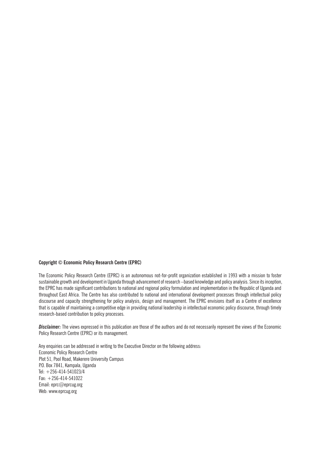### **Copyright © Economic Policy Research Centre (EPRC)**

The Economic Policy Research Centre (EPRC) is an autonomous not-for-profit organization established in 1993 with a mission to foster sustainable growth and development in Uganda through advancement of research –based knowledge and policy analysis. Since its inception, the EPRC has made significant contributions to national and regional policy formulation and implementation in the Republic of Uganda and throughout East Africa. The Centre has also contributed to national and international development processes through intellectual policy discourse and capacity strengthening for policy analysis, design and management. The EPRC envisions itself as a Centre of excellence that is capable of maintaining a competitive edge in providing national leadership in intellectual economic policy discourse, through timely research-based contribution to policy processes.

*Disclaimer:* The views expressed in this publication are those of the authors and do not necessarily represent the views of the Economic Policy Research Centre (EPRC) or its management.

Any enquiries can be addressed in writing to the Executive Director on the following address: Economic Policy Research Centre Plot 51, Pool Road, Makerere University Campus P.O. Box 7841, Kampala, Uganda Tel: +256-414-541023/4 Fax: +256-414-541022 Email: eprc@eprcug.org Web: www.eprcug.org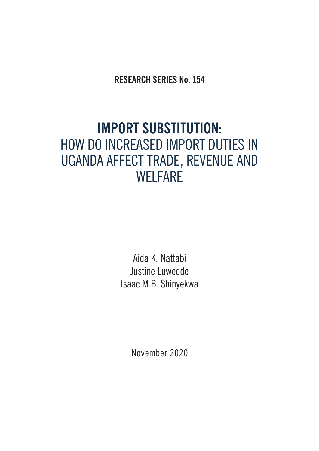**RESEARCH SERIES No. 154**

# **IMPORT SUBSTITUTION:**  HOW DO INCREASED IMPORT DUTIES IN UGANDA AFFECT TRADE, REVENUE AND **WELFARE**

Aida K. Nattabi Justine Luwedde Isaac M.B. Shinyekwa

November 2020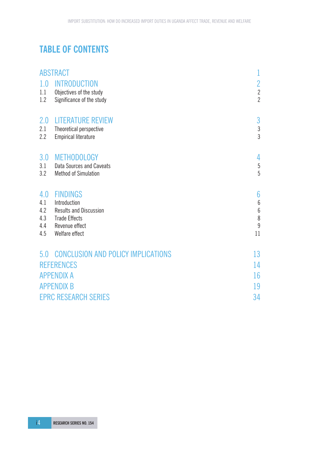# **TABLE OF CONTENTS**

|            | <b>ABSTRACT</b>                                       | 1                   |
|------------|-------------------------------------------------------|---------------------|
| 1.0        | <b>INTRODUCTION</b>                                   | $\overline{c}$      |
| 1.1        | Objectives of the study                               | $\frac{2}{2}$       |
| 1.2        | Significance of the study                             |                     |
| 2.0        | <b>LITERATURE REVIEW</b>                              | 3                   |
| 2.1        | Theoretical perspective                               | $\mathfrak{Z}$      |
| 2.2        | <b>Empirical literature</b>                           | 3                   |
| 3.0        | <b>METHODOLOGY</b>                                    | 4                   |
| 3.1        | <b>Data Sources and Caveats</b>                       | 5                   |
| 3.2        | <b>Method of Simulation</b>                           | 5                   |
| 4.0        | <b>FINDINGS</b>                                       | $6\phantom{.}6$     |
| 4.1        | Introduction                                          | $6\phantom{.}6$     |
| 4.2<br>4.3 | <b>Results and Discussion</b><br><b>Trade Effects</b> | $6\phantom{a}$<br>8 |
| 4.4        | Revenue effect                                        | 9                   |
| 4.5        | Welfare effect                                        | 11                  |
|            | 5.0 CONCLUSION AND POLICY IMPLICATIONS                | 13                  |
|            | <b>REFERENCES</b>                                     | 14                  |
|            | <b>APPENDIX A</b>                                     | 16                  |
|            | <b>APPENDIX B</b>                                     | 19                  |
|            | <b>EPRC RESEARCH SERIES</b>                           | 34                  |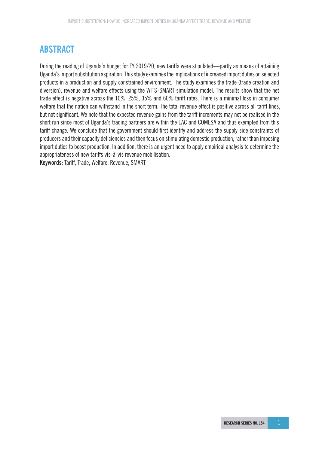# **ABSTRACT**

During the reading of Uganda's budget for FY 2019/20, new tariffs were stipulated—partly as means of attaining Uganda's import substitution aspiration. This study examines the implications of increased import duties on selected products in a production and supply constrained environment. The study examines the trade (trade creation and diversion), revenue and welfare effects using the WITS-SMART simulation model. The results show that the net trade effect is negative across the 10%, 25%, 35% and 60% tariff rates. There is a minimal loss in consumer welfare that the nation can withstand in the short term. The total revenue effect is positive across all tariff lines, but not significant. We note that the expected revenue gains from the tariff increments may not be realised in the short run since most of Uganda's trading partners are within the EAC and COMESA and thus exempted from this tariff change. We conclude that the government should first identify and address the supply side constraints of producers and their capacity deficiencies and then focus on stimulating domestic production, rather than imposing import duties to boost production. In addition, there is an urgent need to apply empirical analysis to determine the appropriateness of new tariffs vis-à-vis revenue mobilisation.

**Keywords:** Tariff, Trade, Welfare, Revenue, SMART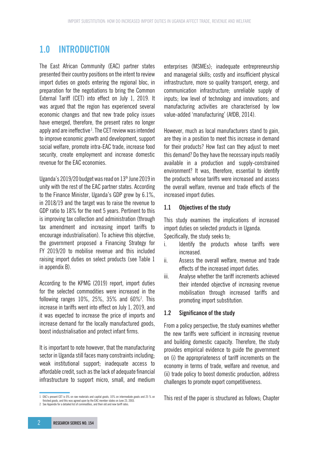# **1.0 INTRODUCTION**

The East African Community (EAC) partner states presented their country positions on the intent to review import duties on goods entering the regional bloc, in preparation for the negotiations to bring the Common External Tariff (CET) into effect on July 1, 2019. It was argued that the region has experienced several economic changes and that new trade policy issues have emerged, therefore, the present rates no longer apply and are ineffective<sup>1</sup>. The CET review was intended to improve economic growth and development, support social welfare, promote intra-EAC trade, increase food security, create employment and increase domestic revenue for the EAC economies.

Uganda's  $2019/20$  budget was read on  $13<sup>th</sup>$  June  $2019$  in unity with the rest of the EAC partner states. According to the Finance Minister, Uganda's GDP grew by 6.1%, in 2018/19 and the target was to raise the revenue to GDP ratio to 18% for the next 5 years. Pertinent to this is improving tax collection and administration (through tax amendment and increasing import tariffs to encourage industrialisation). To achieve this objective, the government proposed a Financing Strategy for FY 2019/20 to mobilise revenue and this included raising import duties on select products (see Table 1 in appendix B).

According to the KPMG (2019) report, import duties for the selected commodities were increased in the following ranges 10%, 25%, 35% and 60%2 . This increase in tariffs went into effect on July 1, 2019, and it was expected to increase the price of imports and increase demand for the locally manufactured goods, boost industrialisation and protect infant firms.

It is important to note however, that the manufacturing sector in Uganda still faces many constraints including; weak institutional support; inadequate access to affordable credit, such as the lack of adequate financial infrastructure to support micro, small, and medium enterprises (MSMEs); inadequate entrepreneurship and managerial skills; costly and insufficient physical infrastructure, more so quality transport, energy, and communication infrastructure; unreliable supply of inputs; low level of technology and innovations; and manufacturing activities are characterised by low value-added 'manufacturing' (AfDB, 2014).

However, much as local manufacturers stand to gain, are they in a position to meet this increase in demand for their products? How fast can they adjust to meet this demand? Do they have the necessary inputs readily available in a production and supply-constrained environment? It was, therefore, essential to identify the products whose tariffs were increased and assess the overall welfare, revenue and trade effects of the increased import duties.

### **1.1 Objectives of the study**

This study examines the implications of increased import duties on selected products in Uganda. Specifically, the study seeks to;

- i. Identify the products whose tariffs were increased.
- ii. Assess the overall welfare, revenue and trade effects of the increased import duties.
- iii. Analyse whether the tariff increments achieved their intended objective of increasing revenue mobilisation through increased tariffs and promoting import substitution.

### **1.2 Significance of the study**

From a policy perspective, the study examines whether the new tariffs were sufficient in increasing revenue and building domestic capacity. Therefore, the study provides empirical evidence to guide the government on (i) the appropriateness of tariff increments on the economy in terms of trade, welfare and revenue, and (ii) trade policy to boost domestic production, address challenges to promote export competitiveness.

This rest of the paper is structured as follows; Chapter

<sup>1</sup> EAC's present CET is 0% on raw materials and capital goods, 10% on intermediate goods and 25 % on finished goods, and this was agreed upon by the EAC member states on June 23, 2003.

<sup>2</sup> See Appendix for a detailed list of commodities, and their old and new tariff rates.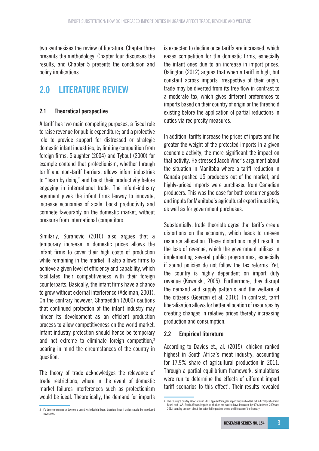two synthesises the review of literature. Chapter three presents the methodology; Chapter four discusses the results, and Chapter 5 presents the conclusion and policy implications.

# **2.0 LITERATURE REVIEW**

### **2.1 Theoretical perspective**

A tariff has two main competing purposes, a fiscal role to raise revenue for public expenditure; and a protective role to provide support for distressed or strategic domestic infant industries, by limiting competition from foreign firms. Slaughter (2004) and Tybout (2000) for example contend that protectionism, whether through tariff and non-tariff barriers, allows infant industries to "learn by doing" and boost their productivity before engaging in international trade. The infant-industry argument gives the infant firms leeway to innovate, increase economies of scale, boost productivity and compete favourably on the domestic market, without pressure from international competitors.

Similarly, Suranovic (2010) also argues that a temporary increase in domestic prices allows the infant firms to cover their high costs of production while remaining in the market. It also allows firms to achieve a given level of efficiency and capability, which facilitates their competitiveness with their foreign counterparts. Basically, the infant firms have a chance to grow without external interference (Adelman, 2001). On the contrary however, Shafaeddin (2000) cautions that continued protection of the infant industry may hinder its development as an efficient production process to allow competitiveness on the world market. Infant industry protection should hence be temporary and not extreme to eliminate foreign competition,<sup>3</sup> bearing in mind the circumstances of the country in question.

The theory of trade acknowledges the relevance of trade restrictions, where in the event of domestic market failures interferences such as protectionism would be ideal. Theoretically, the demand for imports is expected to decline once tariffs are increased, which eases competition for the domestic firms, especially the infant ones due to an increase in import prices. Oslington (2012) argues that when a tariff is high, but constant across imports irrespective of their origin, trade may be diverted from its free flow in contrast to a moderate tax, which gives different preferences to imports based on their country of origin or the threshold existing before the application of partial reductions in duties via reciprocity measures.

In addition, tariffs increase the prices of inputs and the greater the weight of the protected imports in a given economic activity, the more significant the impact on that activity. He stressed Jacob Viner's argument about the situation in Manitoba where a tariff reduction in Canada pushed US producers out of the market, and highly-priced imports were purchased from Canadian producers. This was the case for both consumer goods and inputs for Manitoba's agricultural export industries, as well as for government purchases.

Substantially, trade theorists agree that tariffs create distortions on the economy, which leads to uneven resource allocation. These distortions might result in the loss of revenue, which the government utilises in implementing several public programmes, especially if sound policies do not follow the tax reforms. Yet, the country is highly dependent on import duty revenue (Kowalski, 2005). Furthermore, they disrupt the demand and supply patterns and the welfare of the citizens (Goerzen et al, 2016). In contrast, tariff liberalisation allows for better allocation of resources by creating changes in relative prices thereby increasing production and consumption.

### **2.2 Empirical literature**

According to Davids et., al. (2015), chicken ranked highest in South Africa's meat industry, accounting for 17.9% share of agricultural production in 2011. Through a partial equilibrium framework, simulations were run to determine the effects of different import tariff scenarios to this effect<sup>4</sup>. Their results revealed

<sup>3</sup> It's time consuming to develop a country's industrial base, therefore import duties should be introduced moderately.

<sup>4</sup> The country's poultry association in 2013 applied for higher import duty on broilers to limit competition from Brazil and USA. South Africa's imports of chicken are said to have increased by 90% between 2009 and 2012, causing concern about the potential impact on prices and lifespan of the industry.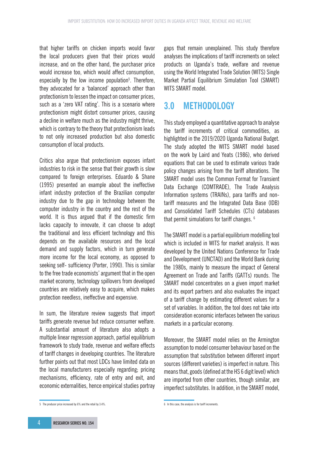that higher tariffs on chicken imports would favor the local producers given that their prices would increase, and on the other hand, the purchaser price would increase too, which would affect consumption, especially by the low income population<sup>5</sup>. Therefore, they advocated for a 'balanced' approach other than protectionism to lessen the impact on consumer prices, such as a 'zero VAT rating'. This is a scenario where protectionism might distort consumer prices, causing a decline in welfare much as the industry might thrive, which is contrary to the theory that protectionism leads to not only increased production but also domestic consumption of local products.

Critics also argue that protectionism exposes infant industries to risk in the sense that their growth is slow compared to foreign enterprises. Eduardo & Shane (1995) presented an example about the ineffective infant industry protection of the Brazilian computer industry due to the gap in technology between the computer industry in the country and the rest of the world. It is thus argued that if the domestic firm lacks capacity to innovate, it can choose to adopt the traditional and less efficient technology and this depends on the available resources and the local demand and supply factors, which in turn generate more income for the local economy, as opposed to seeking self- sufficiency (Porter, 1990). This is similar to the free trade economists' argument that in the open market economy, technology spillovers from developed countries are relatively easy to acquire, which makes protection needless, ineffective and expensive.

In sum, the literature review suggests that import tariffs generate revenue but reduce consumer welfare. A substantial amount of literature also adopts a multiple linear regression approach, partial equilibrium framework to study trade, revenue and welfare effects of tariff changes in developing countries. The literature further points out that most LDCs have limited data on the local manufacturers especially regarding; pricing mechanisms, efficiency, rate of entry and exit, and economic externalities, hence empirical studies portray

gaps that remain unexplained. This study therefore analyses the implications of tariff increments on select products on Uganda's trade, welfare and revenue using the World Integrated Trade Solution (WITS) Single Market Partial Equilibrium Simulation Tool (SMART) WITS SMART model.

# **3.0 METHODOLOGY**

This study employed a quantitative approach to analyse the tariff increments of critical commodities, as highlighted in the 2019/2020 Uganda National Budget. The study adopted the WITS SMART model based on the work by Laird and Yeats (1986), who derived equations that can be used to estimate various trade policy changes arising from the tariff alterations. The SMART model uses the Common Format for Transient Data Exchange (COMTRADE), The Trade Analysis Information systems (TRAINs), para tariffs and nontariff measures and the Integrated Data Base (IDB) and Consolidated Tariff Schedules (CTs) databases that permit simulations for tariff changes. 6

The SMART model is a partial equilibrium modelling tool which is included in WITS for market analysis. It was developed by the United Nations Conference for Trade and Development (UNCTAD) and the World Bank during the 1980s, mainly to measure the impact of General Agreement on Trade and Tariffs (GATTs) rounds. The SMART model concentrates on a given import market and its export partners and also evaluates the impact of a tariff change by estimating different values for a set of variables. In addition, the tool does not take into consideration economic interfaces between the various markets in a particular economy.

Moreover, the SMART model relies on the Armington assumption to model consumer behaviour based on the assumption that substitution between different import sources (different varieties) is imperfect in nature. This means that, goods (defined at the HS 6 digit level) which are imported from other countries, though similar, are imperfect substitutes. In addition, in the SMART model,

<sup>5</sup> The producer price increased by 6% and the retail by 3.4%.

<sup>6</sup> In this case, the analysis is for tariff increments.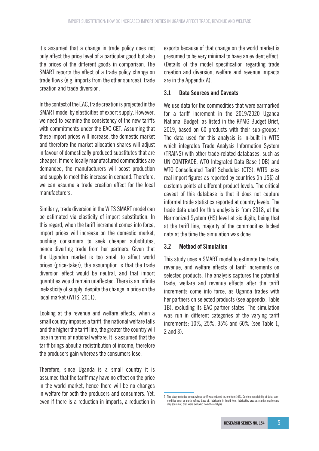it's assumed that a change in trade policy does not only affect the price level of a particular good but also the prices of the different goods in comparison. The SMART reports the effect of a trade policy change on trade flows (e.g. imports from the other sources), trade creation and trade diversion.

In the context of the EAC, trade creation is projected in the SMART model by elasticities of export supply. However, we need to examine the consistency of the new tariffs with commitments under the EAC CET. Assuming that these import prices will increase, the domestic market and therefore the market allocation shares will adjust in favour of domestically produced substitutes that are cheaper. If more locally manufactured commodities are demanded, the manufacturers will boost production and supply to meet this increase in demand. Therefore, we can assume a trade creation effect for the local manufacturers.

Similarly, trade diversion in the WITS SMART model can be estimated via elasticity of import substitution. In this regard, when the tariff increment comes into force, import prices will increase on the domestic market, pushing consumers to seek cheaper substitutes, hence diverting trade from her partners. Given that the Ugandan market is too small to affect world prices (price-taker), the assumption is that the trade diversion effect would be neutral, and that import quantities would remain unaffected. There is an infinite inelasticity of supply, despite the change in price on the local market (WITS, 2011).

Looking at the revenue and welfare effects, when a small country imposes a tariff, the national welfare falls and the higher the tariff line, the greater the country will lose in terms of national welfare. It is assumed that the tariff brings about a redistribution of income, therefore the producers gain whereas the consumers lose.

Therefore, since Uganda is a small country it is assumed that the tariff may have no effect on the price in the world market, hence there will be no changes in welfare for both the producers and consumers. Yet, even if there is a reduction in imports, a reduction in exports because of that change on the world market is presumed to be very minimal to have an evident effect. (Details of the model specification regarding trade creation and diversion, welfare and revenue impacts are in the Appendix A).

### **3.1 Data Sources and Caveats**

We use data for the commodities that were earmarked for a tariff increment in the 2019/2020 Uganda National Budget, as listed in the KPMG Budget Brief, 2019, based on 60 products with their sub-groups.<sup>7</sup> The data used for this analysis is in-built in WITS which integrates Trade Analysis Information System (TRAINS) with other trade-related databases, such as UN COMTRADE, WTO Integrated Data Base (IDB) and WTO Consolidated Tariff Schedules (CTS). WITS uses real import figures as reported by countries (in US\$) at customs points at different product levels. The critical caveat of this database is that it does not capture informal trade statistics reported at country levels. The trade data used for this analysis is from 2018, at the Harmonized System (HS) level at six digits, being that at the tariff line, majority of the commodities lacked data at the time the simulation was done.

### **3.2 Method of Simulation**

This study uses a SMART model to estimate the trade, revenue, and welfare effects of tariff increments on selected products. The analysis captures the potential trade, welfare and revenue effects after the tariff increments come into force, as Uganda trades with her partners on selected products (see appendix, Table 1B), excluding its EAC partner states. The simulation was run in different categories of the varying tariff increments; 10%, 25%, 35% and 60% (see Table 1, 2 and 3).

<sup>7</sup> The study excluded wheat whose tariff was reduced to zero from 10%. Due to unavailability of data, commodities such as partly refined base oil, lubricants in liquid form, lubricating grease, granite, marble and clay (ceramic) tiles were excluded from the analysis.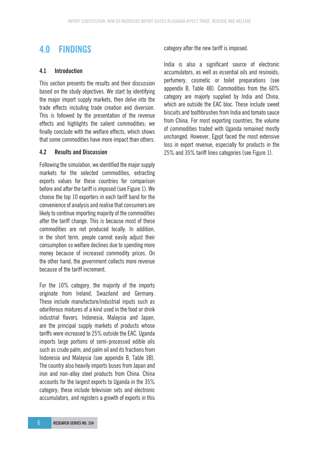# **4.0 FINDINGS**

### **4.1 Introduction**

This section presents the results and their discussion based on the study objectives. We start by identifying the major import supply markets, then delve into the trade effects including trade creation and diversion. This is followed by the presentation of the revenue effects and highlights the salient commodities; we finally conclude with the welfare effects, which shows that some commodities have more impact than others.

### **4.2 Results and Discussion**

Following the simulation, we identified the major supply markets for the selected commodities, extracting exports values for these countries for comparison before and after the tariff is imposed (see Figure 1). We choose the top 10 exporters in each tariff band for the convenience of analysis and realise that consumers are likely to continue importing majority of the commodities after the tariff change. This is because most of these commodities are not produced locally. In addition, in the short term, people cannot easily adjust their consumption so welfare declines due to spending more money because of increased commodity prices. On the other hand, the government collects more revenue because of the tariff increment.

For the 10% category, the majority of the imports originate from Ireland, Swaziland and Germany. These include manufacture/industrial inputs such as odoriferous mixtures of a kind used in the food or drink industrial flavors. Indonesia, Malaysia and Japan, are the principal supply markets of products whose tariffs were increased to 25% outside the EAC. Uganda imports large portions of semi-processed edible oils such as crude palm, and palm oil and its fractions from Indonesia and Malaysia (see appendix B, Table 3B). The country also heavily imports buses from Japan and iron and non-alloy steel products from China. China accounts for the largest exports to Uganda in the 35% category; these include television sets and electronic accumulators, and registers a growth of exports in this category after the new tariff is imposed.

India is also a significant source of electronic accumulators, as well as essential oils and resinoids; perfumery, cosmetic or toilet preparations (see appendix B, Table 4B). Commodities from the 60% category are majorly supplied by India and China, which are outside the EAC bloc. These include sweet biscuits and toothbrushes from India and tomato sauce from China. For most exporting countries, the volume of commodities traded with Uganda remained mostly unchanged. However, Egypt faced the most extensive loss in export revenue, especially for products in the 25% and 35% tariff lines categories (see Figure 1).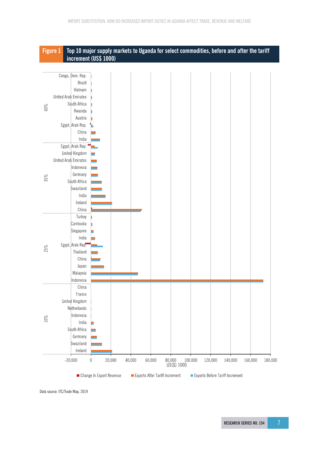

Data source: ITC/Trade Map, 2019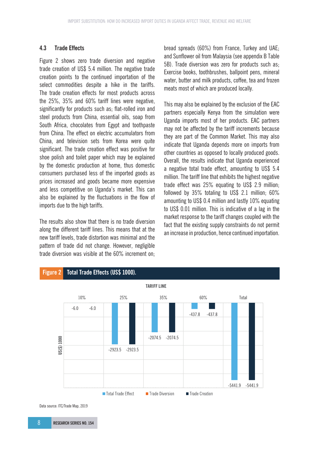### **4.3 Trade Effects**

Figure 2 shows zero trade diversion and negative trade creation of US\$ 5.4 million. The negative trade creation points to the continued importation of the select commodities despite a hike in the tariffs. The trade creation effects for most products across the 25%, 35% and 60% tariff lines were negative, significantly for products such as; flat-rolled iron and steel products from China, essential oils, soap from South Africa, chocolates from Egypt and toothpaste from China. The effect on electric accumulators from China, and television sets from Korea were quite significant. The trade creation effect was positive for shoe polish and toilet paper which may be explained by the domestic production at home, thus domestic consumers purchased less of the imported goods as prices increased and goods became more expensive and less competitive on Uganda's market. This can also be explained by the fluctuations in the flow of imports due to the high tariffs.

The results also show that there is no trade diversion along the different tariff lines. This means that at the new tariff levels, trade distortion was minimal and the pattern of trade did not change. However, negligible trade diversion was visible at the 60% increment on; bread spreads (60%) from France, Turkey and UAE; and Sunflower oil from Malaysia (see appendix B Table 5B). Trade diversion was zero for products such as; Exercise books, toothbrushes, ballpoint pens, mineral water, butter and milk products, coffee, tea and frozen meats most of which are produced locally.

This may also be explained by the exclusion of the EAC partners especially Kenya from the simulation were Uganda imports most of her products. EAC partners may not be affected by the tariff increments because they are part of the Common Market. This may also indicate that Uganda depends more on imports from other countries as opposed to locally produced goods. Overall, the results indicate that Uganda experienced a negative total trade effect, amounting to US\$ 5.4 million. The tariff line that exhibits the highest negative trade effect was 25% equating to US\$ 2.9 million; followed by 35% totaling to US\$ 2.1 million; 60% amounting to US\$ 0.4 million and lastly 10% equating to US\$ 0.01 million. This is indicative of a lag in the market response to the tariff changes coupled with the fact that the existing supply constraints do not permit an increase in production, hence continued importation.



Data source: ITC/Trade Map, 2019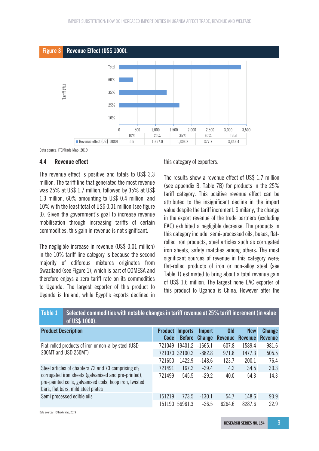



### **4.4 Revenue effect**

The revenue effect is positive and totals to US\$ 3.3 million. The tariff line that generated the most revenue was 25% at US\$ 1.7 million, followed by 35% at US\$ 1.3 million, 60% amounting to US\$ 0.4 million, and 10% with the least total of US\$ 0.01 million (see figure 3). Given the government's goal to increase revenue mobilisation through increasing tariffs of certain commodities, this gain in revenue is not significant.

The negligible increase in revenue (US\$ 0.01 million) in the 10% tariff line category is because the second majority of odiferous mixtures originates from Swaziland (see Figure 1), which is part of COMESA and therefore enjoys a zero tariff rate on its commodities to Uganda. The largest exporter of this product to Uganda is Ireland, while Egypt's exports declined in this category of exporters.

The results show a revenue effect of US\$ 1.7 million (see appendix B, Table 7B) for products in the 25% tariff category. This positive revenue effect can be attributed to the insignificant decline in the import value despite the tariff increment. Similarly, the change in the export revenue of the trade partners (excluding EAC) exhibited a negligible decrease. The products in this category include; semi-processed oils, buses, flatrolled iron products, steel articles such as corrugated iron sheets, safety matches among others**.** The most significant sources of revenue in this category were; flat-rolled products of iron or non-alloy steel **(**see Table 1) estimated to bring about a total revenue gain of US\$ 1.6 million. The largest none EAC exporter of this product to Uganda is China. However after the

| Table 1                    | Selected commodities with notable changes in tariff revenue at 25% tariff increment (in value<br>of US\$ 1000).                                       |                               |                |                                       |                                   |                              |                          |
|----------------------------|-------------------------------------------------------------------------------------------------------------------------------------------------------|-------------------------------|----------------|---------------------------------------|-----------------------------------|------------------------------|--------------------------|
| <b>Product Description</b> |                                                                                                                                                       | <b>Product</b><br><b>Code</b> | <b>Imports</b> | <b>Import</b><br><b>Before Change</b> | 0 <sub>Id</sub><br><b>Revenue</b> | <b>New</b><br><b>Revenue</b> | Change<br><b>Revenue</b> |
|                            | Flat-rolled products of iron or non-alloy steel (USD                                                                                                  | 721049                        | 19401.2        | $-1665.1$                             | 607.8                             | 1589.4                       | 981.6                    |
|                            | 200MT and USD 250MT)                                                                                                                                  |                               | 721070 32100.2 | $-882.8$                              | 971.8                             | 1477.3                       | 505.5                    |
|                            |                                                                                                                                                       | 721650                        | 1422.9         | $-148.6$                              | 123.7                             | 200.1                        | 76.4                     |
|                            | Steel articles of chapters 72 and 73 comprising of;                                                                                                   | 721491                        | 167.2          | $-29.4$                               | 4.2                               | 34.5                         | 30.3                     |
|                            | corrugated iron sheets (galvanised and pre-printed),<br>pre-painted coils, galvanised coils, hoop iron, twisted<br>bars, flat bars, mild steel plates | 721499                        | 545.5          | $-29.2$                               | 40.0                              | 54.3                         | 14.3                     |
|                            | Semi processed edible oils                                                                                                                            | 151219                        | 773.5          | $-130.1$                              | 54.7                              | 148.6                        | 93.9                     |
|                            |                                                                                                                                                       | 151190                        | 56981.3        | $-26.5$                               | 8264.6                            | 8287.6                       | 22.9                     |

Data source: ITC/Trade Map, 2019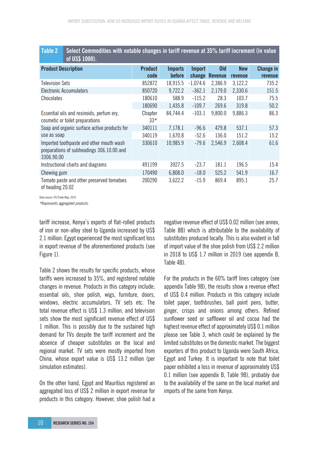| Table Z<br>pelect commodities with hotable changes in tarihi revenue at 59 % tarihi increment (in value)<br>of US\$ 1000). |                  |                |               |                |                |           |
|----------------------------------------------------------------------------------------------------------------------------|------------------|----------------|---------------|----------------|----------------|-----------|
| <b>Product Description</b>                                                                                                 | <b>Product</b>   | <b>Imports</b> | <b>Import</b> | <b>Old</b>     | <b>New</b>     | Change in |
|                                                                                                                            | code             | before         | change        | <b>Revenue</b> | <b>revenue</b> | revenue   |
| <b>Television Sets</b>                                                                                                     | 852872           | 18,915.5       | $-1,074.6$    | 2,386.9        | 3,122.2        | 735.2     |
| <b>Electronic Accumulators</b>                                                                                             | 850720           | 9,722.2        | $-362.1$      | 2,179.0        | 2,330.6        | 151.5     |
| Chocolates                                                                                                                 | 180610           | 588.9          | $-115.2$      | 28.3           | 103.7          | 75.5      |
|                                                                                                                            | 180690           | 1,435.8        | $-109.7$      | 269.6          | 319.8          | 50.2      |
| Essential oils and resinoids; perfum ery,<br>cosmetic or toilet preparations                                               | Chapter<br>$33*$ | 84,744.4       | $-103.1$      | 9,800.0        | 9,886.3        | 86.3      |
| Soap and organic surface active products for                                                                               | 340111           | 7,178.1        | $-96.6$       | 479.8          | 537.1          | 57.3      |
| use as soap                                                                                                                | 340119           | 1,670.8        | $-52.6$       | 136.0          | 151.2          | 15.2      |
| Imported toothpaste and other mouth wash<br>preparations of subheadings 306.10.00 and<br>3306.90.00                        | 330610           | 10,985.9       | $-79.6$       | 2,546.9        | 2,608.4        | 61.6      |
| Instructional charts and diagrams                                                                                          | 491199           | 3927.5         | $-23.7$       | 181.1          | 196.5          | 15.4      |
| Chewing gum                                                                                                                | 170490           | 6,808.0        | $-18.0$       | 525.2          | 541.9          | 16.7      |
| Tomato paste and other preserved tomatoes<br>of heading 20.02                                                              | 200290           | 3,622.2        | $-15.9$       | 869.4          | 895.1          | 25.7      |

**Table 2 Select Commodities with notable changes in tariff revenue at 35% tariff increment (in value** 

Data source: ITC/Trade Map, 2019

*\*Represents aggregated products.*

tariff increase, Kenya's exports of flat-rolled products of iron or non-alloy steel to Uganda increased by US\$ 2.1 million. Egypt experienced the most significant loss in export revenue of the aforementioned products (see Figure 1).

Table 2 shows the results for specific products, whose tariffs were increased to 35%, and registered notable changes in revenue. Products in this category include; essential oils, shoe polish, wigs, furniture, doors, windows, electric accumulators, TV sets etc. The total revenue effect is US\$ 1.3 million, and television sets show the most significant revenue effect of US\$ 1 million. This is possibly due to the sustained high demand for TVs despite the tariff increment and the absence of cheaper substitutes on the local and regional market. TV sets were mostly imported from China, whose export value is US\$ 13.2 million (per simulation estimates).

On the other hand, Egypt and Mauritius registered an aggregated loss of US\$ 2 million in export revenue for products in this category. However, shoe polish had a negative revenue effect of US\$ 0.02 million (see annex, Table 8B) which is attributable to the availability of substitutes produced locally. This is also evident in fall of import value of the shoe polish from US\$ 2.2 million in 2018 to US\$ 1.7 million in 2019 (see appendix B, Table 4B).

For the products in the 60% tariff lines category (see appendix Table 9B), the results show a revenue effect of US\$ 0.4 million. Products in this category include toilet paper, toothbrushes, ball point pens, butter, ginger, crisps and onions among others. Refined sunflower seed or safflower oil and cocoa had the highest revenue effect of approximately US\$ 0.1 million please see Table 3, which could be explained by the limited substitutes on the domestic market. The biggest exporters of this product to Uganda were South Africa, Egypt and Turkey. It is important to note that toilet paper exhibited a loss in revenue of approximately US\$ 0.1 million (see appendix B, Table 9B), probably due to the availability of the same on the local market and imports of the same from Kenya.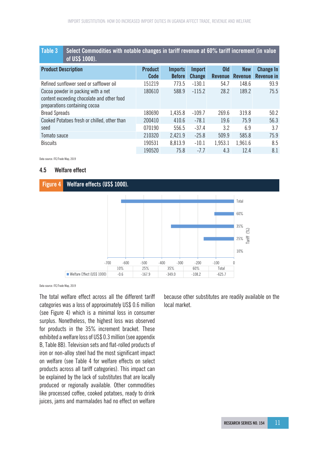### **Table 3 Select Commodities with notable changes in tariff revenue at 60% tariff increment (in value of US\$ 1000).**

| ________                                                                                                          |                        |                                 |                                |                              |                              |                                       |
|-------------------------------------------------------------------------------------------------------------------|------------------------|---------------------------------|--------------------------------|------------------------------|------------------------------|---------------------------------------|
| <b>Product Description</b>                                                                                        | <b>Product</b><br>Code | <b>Imports</b><br><b>Before</b> | <b>Import</b><br><b>Change</b> | <b>Old</b><br><b>Revenue</b> | <b>New</b><br><b>Revenue</b> | <b>Change In</b><br><b>Revenue in</b> |
| Refined sunflower seed or safflower oil                                                                           | 151219                 | 773.5                           | $-130.1$                       | 54.7                         | 148.6                        | 93.9                                  |
| Cocoa powder in packing with a net<br>content exceeding chocolate and other food<br>preparations containing cocoa | 180610                 | 588.9                           | $-115.2$                       | 28.2                         | 189.2                        | 75.5                                  |
| <b>Bread Spreads</b>                                                                                              | 180690                 | 1,435.8                         | $-109.7$                       | 269.6                        | 319.8                        | 50.2                                  |
| Cooked Potatoes fresh or chilled, other than                                                                      | 200410                 | 410.6                           | $-78.1$                        | 19.6                         | 75.9                         | 56.3                                  |
| seed                                                                                                              | 070190                 | 556.5                           | $-37.4$                        | 3.2                          | 6.9                          | 3.7                                   |
| Tomato sauce                                                                                                      | 210320                 | 2,421.9                         | $-25.8$                        | 509.9                        | 585.8                        | 75.9                                  |
| <b>Biscuits</b>                                                                                                   | 190531                 | 8,813.9                         | $-10.1$                        | 1,953.1                      | 1,961.6                      | 8.5                                   |
|                                                                                                                   | 190520                 | 75.8                            | $-7.7$                         | 4.3                          | 12.4                         | 8.1                                   |

Data source: ITC/Trade Map, 2019

### **4.5 Welfare effect**



Data source: ITC/Trade Map, 2019

The total welfare effect across all the different tariff categories was a loss of approximately US\$ 0.6 million (see Figure 4) which is a minimal loss in consumer surplus. Nonetheless, the highest loss was observed for products in the 35% increment bracket. These exhibited a welfare loss of US\$ 0.3 million (see appendix B, Table 8B). Television sets and flat-rolled products of iron or non-alloy steel had the most significant impact on welfare (see Table 4 for welfare effects on select products across all tariff categories). This impact can be explained by the lack of substitutes that are locally produced or regionally available. Other commodities like processed coffee, cooked potatoes, ready to drink juices, jams and marmalades had no effect on welfare

because other substitutes are readily available on the local market.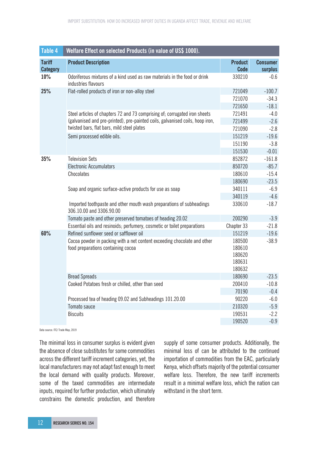| Table 4                          | Welfare Effect on selected Products (in value of US\$ 1000).                                                   |                                                |                            |
|----------------------------------|----------------------------------------------------------------------------------------------------------------|------------------------------------------------|----------------------------|
| <b>Tariff</b><br><b>Category</b> | <b>Product Description</b>                                                                                     | <b>Product</b><br><b>Code</b>                  | <b>Consumer</b><br>surplus |
| 10%                              | Odoriferous mixtures of a kind used as raw materials in the food or drink<br>industries flavours               | 330210                                         | $-0.6$                     |
| 25%                              | Flat-rolled products of iron or non-alloy steel                                                                | 721049                                         | $-100.7$                   |
|                                  |                                                                                                                | 721070                                         | $-34.3$                    |
|                                  |                                                                                                                | 721650                                         | $-18.1$                    |
|                                  | Steel articles of chapters 72 and 73 comprising of; corrugated iron sheets                                     | 721491                                         | $-4.0$                     |
|                                  | (galvanised and pre-printed), pre-painted coils, galvanised coils, hoop iron,                                  | 721499                                         | $-2.6$                     |
|                                  | twisted bars, flat bars, mild steel plates                                                                     | 721090                                         | $-2.8$                     |
|                                  | Semi processed edible oils.                                                                                    | 151219                                         | $-19.6$                    |
|                                  |                                                                                                                | 151190                                         | $-3.8$                     |
|                                  |                                                                                                                | 151530                                         | $-0.01$                    |
| 35%                              | <b>Television Sets</b>                                                                                         | 852872                                         | $-161.8$                   |
|                                  | <b>Electronic Accumulators</b>                                                                                 | 850720                                         | $-85.7$                    |
|                                  | Chocolates                                                                                                     | 180610                                         | $-15.4$                    |
|                                  |                                                                                                                | 180690                                         | $-23.5$                    |
|                                  | Soap and organic surface-active products for use as soap                                                       | 340111                                         | $-6.9$                     |
|                                  |                                                                                                                | 340119                                         | $-4.6$                     |
|                                  | Imported toothpaste and other mouth wash preparations of subheadings<br>306.10.00 and 3306.90.00               | 330610                                         | $-18.7$                    |
|                                  | Tomato paste and other preserved tomatoes of heading 20.02                                                     | 200290                                         | $-3.9$                     |
|                                  | Essential oils and resinoids; perfumery, cosmetic or toilet preparations                                       | Chapter 33                                     | $-21.8$                    |
| 60%                              | Refined sunflower seed or safflower oil                                                                        | 151219                                         | $-19.6$                    |
|                                  | Cocoa powder in packing with a net content exceeding chocolate and other<br>food preparations containing cocoa | 180500<br>180610<br>180620<br>180631<br>180632 | $-38.9$                    |
|                                  | <b>Bread Spreads</b>                                                                                           | 180690                                         | $-23.5$                    |
|                                  | Cooked Potatoes fresh or chilled, other than seed                                                              | 200410                                         | $-10.8$                    |
|                                  |                                                                                                                | 70190                                          | $-0.4$                     |
|                                  | Processed tea of heading 09.02 and Subheadings 101.20.00                                                       | 90220                                          | $-6.0$                     |
|                                  | Tomato sauce                                                                                                   | 210320                                         | $-5.9$                     |
|                                  | <b>Biscuits</b>                                                                                                | 190531                                         | $-2.2$                     |
|                                  |                                                                                                                | 190520                                         | $-0.9$                     |

Data source: ITC/ Trade Man, 2019

The minimal loss in consumer surplus is evident given the absence of close substitutes for some commodities across the different tariff increment categories, yet, the local manufacturers may not adapt fast enough to meet the local demand with quality products. Moreover, some of the taxed commodities are intermediate inputs, required for further production, which ultimately constrains the domestic production, and therefore

supply of some consumer products. Additionally, the minimal loss of can be attributed to the continued importation of commodities from the EAC, particularly Kenya, which offsets majority of the potential consumer welfare loss. Therefore, the new tariff increments result in a minimal welfare loss, which the nation can withstand in the short term.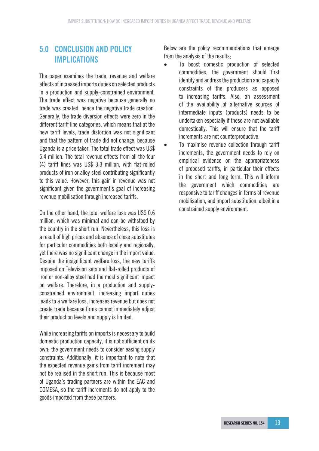# **5.0 CONCLUSION AND POLICY IMPLICATIONS**

The paper examines the trade, revenue and welfare effects of increased imports duties on selected products in a production and supply-constrained environment. The trade effect was negative because generally no trade was created, hence the negative trade creation. Generally, the trade diversion effects were zero in the different tariff line categories, which means that at the new tariff levels, trade distortion was not significant and that the pattern of trade did not change, because Uganda is a price taker. The total trade effect was US\$ 5.4 million. The total revenue effects from all the four (4) tariff lines was US\$ 3.3 million, with flat-rolled products of iron or alloy steel contributing significantly to this value. However, this gain in revenue was not significant given the government's goal of increasing revenue mobilisation through increased tariffs.

On the other hand, the total welfare loss was US\$ 0.6 million, which was minimal and can be withstood by the country in the short run. Nevertheless, this loss is a result of high prices and absence of close substitutes for particular commodities both locally and regionally, yet there was no significant change in the import value. Despite the insignificant welfare loss, the new tariffs imposed on Television sets and flat-rolled products of iron or non-alloy steel had the most significant impact on welfare. Therefore, in a production and supplyconstrained environment, increasing import duties leads to a welfare loss, increases revenue but does not create trade because firms cannot immediately adjust their production levels and supply is limited.

While increasing tariffs on imports is necessary to build domestic production capacity, it is not sufficient on its own; the government needs to consider easing supply constraints. Additionally, it is important to note that the expected revenue gains from tariff increment may not be realised in the short run. This is because most of Uganda's trading partners are within the EAC and COMESA, so the tariff increments do not apply to the goods imported from these partners.

Below are the policy recommendations that emerge from the analysis of the results;

- • To boost domestic production of selected commodities, the government should first identify and address the production and capacity constraints of the producers as opposed to increasing tariffs. Also, an assessment of the availability of alternative sources of intermediate inputs (products) needs to be undertaken especially if these are not available domestically. This will ensure that the tariff increments are not counterproductive.
- To maximise revenue collection through tariff increments, the government needs to rely on empirical evidence on the appropriateness of proposed tariffs, in particular their effects in the short and long term. This will inform the government which commodities are responsive to tariff changes in terms of revenue mobilisation, and import substitution, albeit in a constrained supply environment.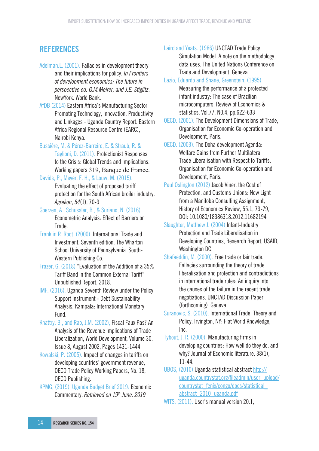# **REFERENCES**

- Adelman.L. (2001). Fallacies in development theory and their implications for policy. *In Frontiers of development economics: The future in perspective ed. G.M.Meirer, and J.E. Stiglitz*. NewYork. World Bank.
- AfDB (2014) Eastern Africa's Manufacturing Sector Promoting Technology, Innovation, Productivity and Linkages - Uganda Country Report. Eastern Africa Regional Resource Centre (EARC), Nairobi Kenya.
- Bussière, M. & Pérez-Barreiro, E. & Straub, R. &
	- Taglioni, D. (2011). Protectionist Responses to the Crisis: Global Trends and Implications. Working papers 319, Banque de France.
- Davids, P., Meyer, F. H., & Louw, M. (2015).
	- Evaluating the effect of proposed tariff protection for the South African broiler industry. *Agrekon*, *54*(1), 70-9
- Goerzen, A., Schussler, B., & Suriano, N. (2016). Econometric Analysis: Effect of Barriers on Trade.
- Franklin R. Root. (2000). International Trade and Investment. Seventh edition. The Wharton School University of Pennsylvania. South-Western Publishing Co.
- Frazer, G. (2018) "Evaluation of the Addition of a 35% Tariff Band in the Common External Tariff" Unpublished Report, 2018.
- IMF. (2016). Uganda Seventh Review under the Policy Support Instrument - Debt Sustainability Analysis. Kampala: International Monetary Fund.
- Khattry, B., and Rao, J.M. (2002), Fiscal Faux Pas? An Analysis of the Revenue Implications of Trade Liberalization, World Development, Volume 30, Issue 8, August 2002, Pages 1431-1444
- Kowalski, P. (2005). Impact of changes in tariffs on developing countries' government revenue, OECD Trade Policy Working Papers, No. 18, OECD Publishing.
- KPMG, (2019). Uganda Budget Brief 2019: Economic Commentary. *Retrieved on 19th June, 2019*

Laird and Yeats. (1986) UNCTAD Trade Policy Simulation Model. A note on the methodology, data uses. The United Nations Conference on Trade and Development. Geneva.

- Lazio, Eduardo and Shane, Greenstein. (1995) Measuring the performance of a protected infant industry: The case of Brazilian microcomputers. Review of Economics & statistics, Vol.77, N0.4, pp.622-633
- OECD. (2001). The Development Dimensions of Trade, Organisation for Economic Co-operation and Development, Paris.
- OECD. (2003). The Doha development Agenda: Welfare Gains from Further Multilateral Trade Liberalisation with Respect to Tariffs, Organisation for Economic Co-operation and Development, Paris.
- Paul Oslington (2012) Jacob Viner, the Cost of Protection, and Customs Unions: New Light from a Manitoba Consulting Assignment, History of Economics Review, 55:1, 73-79, DOI: 10.1080/18386318.2012.11682194
- Slaughter, Matthew J. (2004) Infant-Industry Protection and Trade Liberalisation in Developing Countries, Research Report, USAID, Washington DC.
- Shafaeddin, M. (2000). Free trade or fair trade. Fallacies surrounding the theory of trade liberalisation and protection and contradictions in international trade rules: An inquiry into the causes of the failure in the recent trade negotiations. UNCTAD Discussion Paper (forthcoming). Geneva.
- Suranovic, S. (2010). International Trade: Theory and Policy. Irvington, NY: Flat World Knowledge, Inc.
- Tybout, J. R. (2000). Manufacturing firms in developing countries: How well do they do, and why? Journal of Economic literature, 38(1), 11-44.
- UBOS, (2010) Uganda statistical abstract http:// uganda.countrystat.org/fileadmin/user\_upload/ countrystat\_fenix/congo/docs/statistical\_ abstract\_2010\_uganda.pdf
- WITS. (2011). User's manual version 20.1,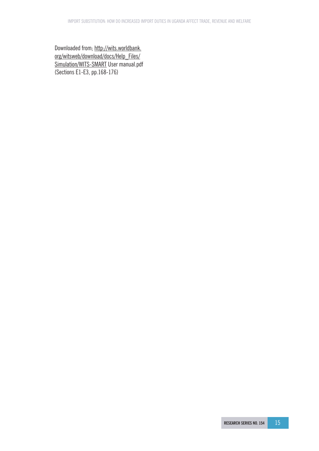Downloaded from; http://wits.worldbank. org/witsweb/download/docs/Help\_Files/ Simulation/WITS-SMART User manual.pdf (Sections E1-E3, pp.168-176)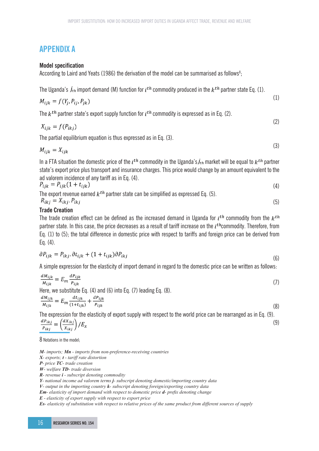## **APPENDIX A**

### **Model specification**

According to Laird and Yeats (1986) the derivation of the model can be summarised as follows $\mathrm{s};$ 

The Uganda's  $j_{th}$  import demand (M) function for  $i^{th}$  commodity produced in the  $k^{th}$  partner state Eq. (1).

$$
M_{ijk} = f(Y_j, P_{ij}, P_{jk})
$$

 $(1)$ 

The  $k^{th}$  partner state's export supply function for  $i^{th}$  commodity is expressed as in Eq. (2).

$$
X_{ijk} = f(P_{ikj})
$$
 (2)

The partial equilibrium equation is thus expressed as in Eq. (3).

$$
M_{ijk} = X_{ijk} \tag{3}
$$

In a FTA situation the domestic price of the  $i^{th}$  commodity in the Uganda's  $j_{th}$  market will be equal to  $k^{th}$  partner state's export price plus transport and insurance charges. This price would change by an amount equivalent to the ad valorem incidence of any tariff as in Eq. (4).

$$
P_{ijk} = P_{ijk}(1 + t_{ijk})
$$
\n<sup>(4)</sup>

The export revenue earned 
$$
k^{th}
$$
 partner state can be simplified as expressed Eq. (5).  
\n
$$
R_{ikj} = X_{ikj} \cdot P_{ikj}
$$
\n(5)

### **Trade Creation**

The trade creation effect can be defined as the increased demand in Uganda for  $i^{th}$  commodity from the  $k^{th}$ partner state. In this case, the price decreases as a result of tariff increase on the  $i^{th}$ commodity. Therefore, from Eq. (1) to (5); the total difference in domestic price with respect to tariffs and foreign price can be derived from Eq. (4).

$$
\partial P_{ijk} = P_{ikj} \cdot \partial t_{ijk} + (1 + t_{ijk}) \partial P_{ikj} \tag{6}
$$

A simple expression for the elasticity of import demand in regard to the domestic price can be written as follows:

$$
\frac{dM_{ijk}}{M_{ijk}} = E_m \frac{dP_{ijk}}{P_{ijk}}
$$
\n(7)  
\nHere, we substitute Eq. (4) and (6) into Eq. (7) leading Eq. (8).

$$
\frac{a_{ijk}}{M_{ijk}} = E_m \frac{a_{iijk}}{(1 + t_{ijk})} + \frac{a_{ijk}}{P_{ijk}}
$$
\n
$$
(8)
$$

The expression for the elasticity of export supply with respect to the world price can be rearranged as in Eq. (9).<br>  $\frac{dP_{ikj}}{P_{ikj}} = \left(\frac{dX_{ikj}}{X_{ikj}}\right)/E_x$  ( (9)

8 Notations in the model;

*M- imports; Mn - imports from non-preference-receiving countries* 

*X- exports; t - tariff rate distortion* 

*P- price TC- trade creation* 

*W- welfare TD- trade diversion R- revenue i - subscript denoting commodity* 

*Y- national income ad valorem terms j- subscript denoting domestic/importing country data* 

*V- output in the importing country k- subscript denoting foreign/exporting country data*

*Em- elasticity of import demand with respect to domestic price d- prefix denoting change* 

*E - elasticity of export supply with respect to export price* 

*Es- elasticity of substitution with respect to relative prices of the same product from different sources of supply*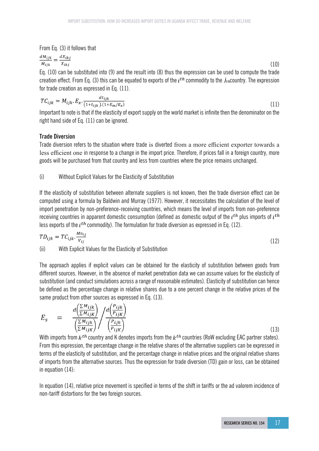From Eq. (3) it follows that

$$
\frac{dM_{ijk}}{M_{ijk}} = \frac{dX_{ikj}}{X_{ikj}}
$$
(10)

Eq. (10) can be substituted into (9) and the result into (8) thus the expression can be used to compute the trade creation effect. From Eq. (3) this can be equated to exports of the  $i^{th}$  commodity to the  $j_{th}$ country. The expression for trade creation as expressed in Eq. (11).

$$
TC_{ijk} = M_{ijk} \cdot E_x \cdot \frac{dt_{ijk}}{(1+t_{ijk}) \cdot (1+E_m/E_x)}
$$
(11)

Important to note is that if the elasticity of export supply on the world market is infinite then the denominator on the right hand side of Eq. (11) can be ignored.

### **Trade Diversion**

Trade diversion refers to the situation where trade is diverted from a more efficient exporter towards a less efficient one in response to a change in the import price. Therefore, if prices fall in a foreign country, more goods will be purchased from that country and less from countries where the price remains unchanged.

(i) Without Explicit Values for the Elasticity of Substitution

If the elasticity of substitution between alternate suppliers is not known, then the trade diversion effect can be computed using a formula by Baldwin and Murray (1977). However, it necessitates the calculation of the level of import penetration by non-preference-receiving countries, which means the level of imports from non-preference receiving countries in apparent domestic consumption (defined as domestic output of the  $i^{th}$  plus imports of  $i^{th}$ less exports of the  $i^{th}$  commodity). The formulation for trade diversion as expressed in Eq. (12).

$$
TD_{ijk} = TC_{ijk} \cdot \frac{Mn_{ij}}{V_{ij}}
$$
\n
$$
(12)
$$

(ii) With Explicit Values for the Elasticity of Substitution

The approach applies if explicit values can be obtained for the elasticity of substitution between goods from different sources. However, in the absence of market penetration data we can assume values for the elasticity of substitution (and conduct simulations across a range of reasonable estimates). Elasticity of substitution can hence be defined as the percentage change in relative shares due to a one percent change in the relative prices of the same product from other sources as expressed in Eq. (13).

$$
E_{S} = \frac{d\left(\frac{\sum M_{ijk}}{\sum M_{ijk}}\right)}{\left(\frac{\sum M_{ijk}}{\sum M_{ijk}}\right)} / \frac{d\left(\frac{P_{ijk}}{P_{ijk}}\right)}{\left(\frac{P_{ijk}}{P_{ijk}}\right)}
$$

(13)

With imports from  $k^{th}$  country and K denotes imports from the  $k^{th}$  countries (RoW excluding EAC partner states). From this expression, the percentage change in the relative shares of the alternative suppliers can be expressed in terms of the elasticity of substitution, and the percentage change in relative prices and the original relative shares of imports from the alternative sources. Thus the expression for trade diversion (TD) gain or loss, can be obtained in equation (14):

In equation (14), relative price movement is specified in terms of the shift in tariffs or the ad valorem incidence of non-tariff distortions for the two foreign sources.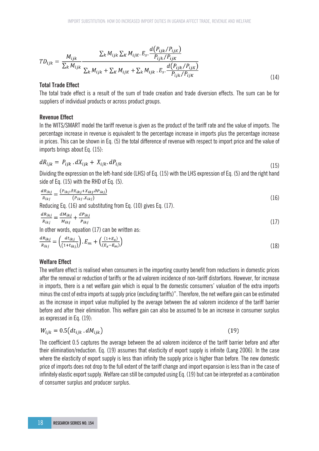$$
TD_{ijk} = \frac{M_{ijk}}{\sum_{k} M_{ijk}} \frac{\sum_{k} M_{ijk} \sum_{K} M_{ijk} E_{s} \cdot \frac{d(P_{ijk}/P_{ijk})}{P_{ijk}/P_{ijk}}}{\sum_{k} M_{ijk} + \sum_{K} M_{ijk} + \sum_{k} M_{ijk} E_{s} \cdot \frac{d(P_{ijk}/P_{ijk})}{P_{ijk}/P_{ijk}}}
$$
(14)

### **Total Trade Effect**

The total trade effect is a result of the sum of trade creation and trade diversion effects. The sum can be for suppliers of individual products or across product groups.

### **Revenue Effect**

In the WITS/SMART model the tariff revenue is given as the product of the tariff rate and the value of imports. The percentage increase in revenue is equivalent to the percentage increase in imports plus the percentage increase in prices. This can be shown in Eq. (5) the total difference of revenue with respect to import price and the value of imports brings about Eq. (15):

$$
dR_{ijk} = P_{ijk} \cdot dX_{ijk} + X_{ijk} \cdot dP_{ijk} \tag{15}
$$

Dividing the expression on the left-hand side (LHS) of Eq. (15) with the LHS expression of Eq. (5) and the right hand side of Eq. (15) with the RHD of Eq. (5).

$$
\frac{dR_{ikj}}{R_{ikj}} = \frac{(P_{ikj}.\partial X_{ikj} + X_{ikj}.\partial P_{ikj})}{(P_{ikj} . X_{ikj})}
$$
(16)

Reducing Eq. (16) and substituting from Eq. (10) gives Eq. (17).

$$
\frac{dR_{ikj}}{R_{ikj}} = \frac{dM_{ikj}}{M_{ikj}} + \frac{dP_{ikj}}{P_{ikj}}
$$
(17)

In other words, equation (17) can be written as:

$$
\frac{dR_{ikj}}{R_{ikj}} = \left(\frac{dt_{ikj}}{(1+t_{ikj})}\right) \cdot E_m + \left(\frac{(1+E_x)}{(E_x - E_m)}\right) \tag{18}
$$

### **Welfare Effect**

The welfare effect is realised when consumers in the importing country benefit from reductions in domestic prices after the removal or reduction of tariffs or the ad valorem incidence of non-tariff distortions. However, for increase in imports, there is a net welfare gain which is equal to the domestic consumers' valuation of the extra imports minus the cost of extra imports at supply price (excluding tariffs)". Therefore, the net welfare gain can be estimated as the increase in import value multiplied by the average between the ad valorem incidence of the tariff barrier before and after their elimination. This welfare gain can also be assumed to be an increase in consumer surplus as expressed in Eq. (19):

$$
W_{ijk} = 0.5 \left( dt_{ijk} \cdot dM_{ijk} \right) \tag{19}
$$

The coefficient 0.5 captures the average between the ad valorem incidence of the tariff barrier before and after their elimination/reduction. Eq. (19) assumes that elasticity of export supply is infinite (Lang 2006). In the case where the elasticity of export supply is less than infinity the supply price is higher than before. The new domestic price of imports does not drop to the full extent of the tariff change and import expansion is less than in the case of infinitely elastic export supply. Welfare can still be computed using Eq. (19) but can be interpreted as a combination of consumer surplus and producer surplus.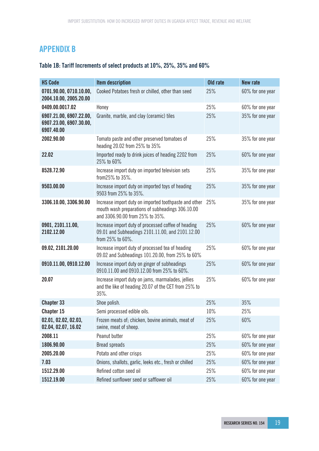# **APPENDIX B**

# **Table 1B: Tariff Increments of select products at 10%, 25%, 35% and 60%**

| <b>HS Code</b>                                                   | <b>Item description</b>                                                                                                                      | Old rate | <b>New rate</b>  |
|------------------------------------------------------------------|----------------------------------------------------------------------------------------------------------------------------------------------|----------|------------------|
| 0701.90.00, 0710.10.00,<br>2004.10.00, 2005.20.00                | Cooked Potatoes fresh or chilled, other than seed                                                                                            | 25%      | 60% for one year |
| 0409.00.0017.02                                                  | Honey                                                                                                                                        | 25%      | 60% for one year |
| 6907.21.00, 6907.22.00,<br>6907.23.00, 6907.30.00,<br>6907.40.00 | Granite, marble, and clay (ceramic) tiles                                                                                                    | 25%      | 35% for one year |
| 2002.90.00                                                       | Tomato paste and other preserved tomatoes of<br>heading 20.02 from 25% to 35%                                                                | 25%      | 35% for one year |
| 22.02                                                            | Imported ready to drink juices of heading 2202 from<br>25% to 60%                                                                            | 25%      | 60% for one year |
| 8528.72.90                                                       | Increase import duty on imported television sets<br>from 25% to 35%.                                                                         | 25%      | 35% for one year |
| 9503.00.00                                                       | Increase import duty on imported toys of heading<br>9503 from 25% to 35%.                                                                    | 25%      | 35% for one year |
| 3306.10.00, 3306.90.00                                           | Increase import duty on imported toothpaste and other<br>mouth wash preparations of subheadings 306.10.00<br>and 3306.90.00 from 25% to 35%. | 25%      | 35% for one year |
| 0901, 2101.11.00,<br>2102.12.00                                  | Increase import duty of processed coffee of heading<br>09.01 and Subheadings 2101.11.00, and 2101.12.00<br>from 25% to 60%.                  | 25%      | 60% for one year |
| 09.02, 2101.20.00                                                | Increase import duty of processed tea of heading<br>09.02 and Subheadings 101.20.00, from 25% to 60%                                         | 25%      | 60% for one year |
| 0910.11.00, 0910.12.00                                           | Increase import duty on ginger of subheadings<br>0910.11.00 and 0910.12.00 from 25% to 60%.                                                  | 25%      | 60% for one year |
| 20.07                                                            | Increase import duty on jams, marmalades, jellies<br>and the like of heading 20.07 of the CET from 25% to<br>35%.                            | 25%      | 60% for one year |
| Chapter 33                                                       | Shoe polish.                                                                                                                                 | 25%      | 35%              |
| Chapter 15                                                       | Semi processed edible oils.                                                                                                                  | 10%      | 25%              |
| 02.01, 02.02, 02.03,<br>02.04, 02.07, 16.02                      | Frozen meats of; chicken, bovine animals, meat of<br>swine, meat of sheep.                                                                   | 25%      | 60%              |
| 2008.11                                                          | Peanut butter                                                                                                                                | 25%      | 60% for one year |
| 1806.90.00                                                       | <b>Bread spreads</b>                                                                                                                         | 25%      | 60% for one year |
| 2005.20.00                                                       | Potato and other crisps                                                                                                                      | 25%      | 60% for one year |
| 7.03                                                             | Onions, shallots, garlic, leeks etc., fresh or chilled                                                                                       | 25%      | 60% for one year |
| 1512.29.00                                                       | Refined cotton seed oil                                                                                                                      | 25%      | 60% for one year |
| 1512.19.00                                                       | Refined sunflower seed or safflower oil                                                                                                      | 25%      | 60% for one year |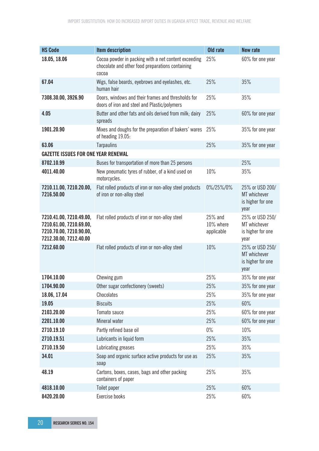| <b>HS Code</b>                                                                                          | <b>Item description</b>                                                                                           | Old rate                           | <b>New rate</b>                                              |
|---------------------------------------------------------------------------------------------------------|-------------------------------------------------------------------------------------------------------------------|------------------------------------|--------------------------------------------------------------|
| 18.05, 18.06                                                                                            | Cocoa powder in packing with a net content exceeding<br>chocolate and other food preparations containing<br>cocoa | 25%                                | 60% for one year                                             |
| 67.04                                                                                                   | Wigs, false beards, eyebrows and eyelashes, etc.<br>human hair                                                    | 25%                                | 35%                                                          |
| 7308.30.00, 3926.90                                                                                     | Doors, windows and their frames and thresholds for<br>doors of iron and steel and Plastic/polymers                | 25%                                | 35%                                                          |
| 4.05                                                                                                    | Butter and other fats and oils derived from milk; dairy<br>spreads                                                | 25%                                | 60% for one year                                             |
| 1901.20.90                                                                                              | Mixes and doughs for the preparation of bakers' wares<br>of heading 19.05:                                        | 25%                                | 35% for one year                                             |
| 63.06                                                                                                   | <b>Tarpaulins</b>                                                                                                 | 25%                                | 35% for one year                                             |
| <b>GAZETTE ISSUES FOR ONE YEAR RENEWAL</b>                                                              |                                                                                                                   |                                    |                                                              |
| 8702.10.99                                                                                              | Buses for transportation of more than 25 persons                                                                  |                                    | 25%                                                          |
| 4011.40.00                                                                                              | New pneumatic tyres of rubber, of a kind used on<br>motorcycles.                                                  | 10%                                | 35%                                                          |
| 7210.11.00, 7210.20.00,<br>7216.50.00                                                                   | Flat rolled products of iron or non-alloy steel products<br>of iron or non-alloy steel                            | 0%/25%/0%                          | 25% or USD 200/<br>MT whichever<br>is higher for one<br>year |
| 7210.41.00, 7210.49.00,<br>7210.61.00, 7210.69.00,<br>7210.70.00, 7210.90.00,<br>7212.30.00, 7212.40.00 | Flat rolled products of iron or non-alloy steel                                                                   | 25% and<br>10% where<br>applicable | 25% or USD 250/<br>MT whichever<br>is higher for one<br>year |
| 7212.60.00                                                                                              | Flat rolled products of iron or non-alloy steel                                                                   | 10%                                | 25% or USD 250/<br>MT whichever<br>is higher for one<br>year |
| 1704.10.00                                                                                              | Chewing gum                                                                                                       | 25%                                | 35% for one year                                             |
| 1704.90.00                                                                                              | Other sugar confectionery (sweets)                                                                                | 25%                                | 35% for one year                                             |
| 18.06, 17.04                                                                                            | Chocolates                                                                                                        | 25%                                | 35% for one year                                             |
| 19.05                                                                                                   | <b>Biscuits</b>                                                                                                   | 25%                                | 60%                                                          |
| 2103.20.00                                                                                              | Tomato sauce                                                                                                      | 25%                                | 60% for one year                                             |
| 2201.10.00                                                                                              | Mineral water                                                                                                     | 25%                                | 60% for one year                                             |
| 2710.19.10                                                                                              | Partly refined base oil                                                                                           | $0\%$                              | 10%                                                          |
| 2710.19.51                                                                                              | Lubricants in liquid form                                                                                         | 25%                                | 35%                                                          |
| 2710.19.50                                                                                              | Lubricating greases                                                                                               | 25%                                | 35%                                                          |
| 34.01                                                                                                   | Soap and organic surface active products for use as<br>soap                                                       | 25%                                | 35%                                                          |
| 48.19                                                                                                   | Cartons, boxes, cases, bags and other packing<br>containers of paper                                              | 25%                                | 35%                                                          |
| 4818.10.00                                                                                              | Toilet paper                                                                                                      | 25%                                | 60%                                                          |
| 8420.20.00                                                                                              | Exercise books                                                                                                    | 25%                                | 60%                                                          |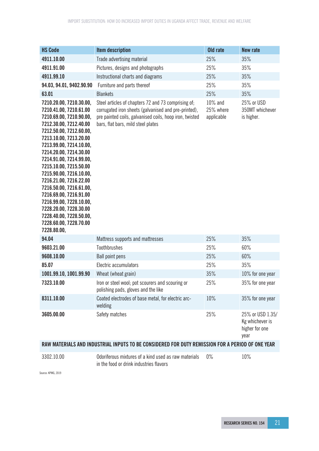| <b>HS Code</b>                                                                                                                                                                                                                                                                                                                                                                                                                                                                                           | <b>Item description</b>                                                                                                                                                                                      | Old rate                           | <b>New rate</b>                                               |
|----------------------------------------------------------------------------------------------------------------------------------------------------------------------------------------------------------------------------------------------------------------------------------------------------------------------------------------------------------------------------------------------------------------------------------------------------------------------------------------------------------|--------------------------------------------------------------------------------------------------------------------------------------------------------------------------------------------------------------|------------------------------------|---------------------------------------------------------------|
| 4911.10.00                                                                                                                                                                                                                                                                                                                                                                                                                                                                                               | Trade advertising material                                                                                                                                                                                   | 25%                                | 35%                                                           |
| 4911.91.00                                                                                                                                                                                                                                                                                                                                                                                                                                                                                               | Pictures, designs and photographs                                                                                                                                                                            | 25%                                | 35%                                                           |
| 4911.99.10                                                                                                                                                                                                                                                                                                                                                                                                                                                                                               | Instructional charts and diagrams                                                                                                                                                                            | 25%                                | 35%                                                           |
| 94.03, 94.01, 9402.90.90                                                                                                                                                                                                                                                                                                                                                                                                                                                                                 | Furniture and parts thereof                                                                                                                                                                                  | 25%                                | 35%                                                           |
| 63.01                                                                                                                                                                                                                                                                                                                                                                                                                                                                                                    | <b>Blankets</b>                                                                                                                                                                                              | 25%                                | 35%                                                           |
| 7210.20.00, 7210.30.00,<br>7210.41.00, 7210.61.00<br>7210.69.00, 7210.90.00,<br>7212.30.00, 7212.40.00<br>7212.50.00, 7212.60.00,<br>7213.10.00, 7213.20.00<br>7213.99.00, 7214.10.00,<br>7214.20.00, 7214.30.00<br>7214.91.00, 7214.99.00,<br>7215.10.00, 7215.50.00<br>7215.90.00, 7216.10.00,<br>7216.21.00, 7216.22.00<br>7216.50.00, 7216.61.00,<br>7216.69.00, 7216.91.00<br>7216.99.00, 7228.10.00,<br>7228.20.00, 7228.30.00<br>7228.40.00, 7228.50.00,<br>7228.60.00, 7228.70.00<br>7228.80.00, | Steel articles of chapters 72 and 73 comprising of;<br>corrugated iron sheets (galvanised and pre-printed),<br>pre painted coils, galvanised coils, hoop iron, twisted<br>bars, flat bars, mild steel plates | 10% and<br>25% where<br>applicable | 25% or USD<br>350MT whichever<br>is higher.                   |
| 94.04                                                                                                                                                                                                                                                                                                                                                                                                                                                                                                    | Mattress supports and mattresses                                                                                                                                                                             | 25%                                | 35%                                                           |
| 9603.21.00                                                                                                                                                                                                                                                                                                                                                                                                                                                                                               | Toothbrushes                                                                                                                                                                                                 | 25%                                | 60%                                                           |
| 9608.10.00                                                                                                                                                                                                                                                                                                                                                                                                                                                                                               | <b>Ball point pens</b>                                                                                                                                                                                       | 25%                                | 60%                                                           |
| 85.07                                                                                                                                                                                                                                                                                                                                                                                                                                                                                                    | Electric accumulators                                                                                                                                                                                        | 25%                                | 35%                                                           |
| 1001.99.10, 1001.99.90                                                                                                                                                                                                                                                                                                                                                                                                                                                                                   | Wheat (wheat grain)                                                                                                                                                                                          | 35%                                | 10% for one year                                              |
| 7323.10.00                                                                                                                                                                                                                                                                                                                                                                                                                                                                                               | Iron or steel wool; pot scourers and scouring or<br>polishing pads, gloves and the like                                                                                                                      | 25%                                | 35% for one year                                              |
| 8311.10.00                                                                                                                                                                                                                                                                                                                                                                                                                                                                                               | Coated electrodes of base metal, for electric arc-<br>welding                                                                                                                                                | 10%                                | 35% for one year                                              |
| 3605.00.00                                                                                                                                                                                                                                                                                                                                                                                                                                                                                               | Safety matches                                                                                                                                                                                               | 25%                                | 25% or USD 1.35/<br>Kg whichever is<br>higher for one<br>year |
|                                                                                                                                                                                                                                                                                                                                                                                                                                                                                                          | RAW MATERIALS AND INDUSTRIAL INPUTS TO BE CONSIDERED FOR DUTY REMISSION FOR A PERIOD OF ONE YEAR                                                                                                             |                                    |                                                               |

3302.10.00 Odoriferous mixtures of a kind used as raw materials in the food or drink industries flavors

Source: KPMG, 2019

0% 10%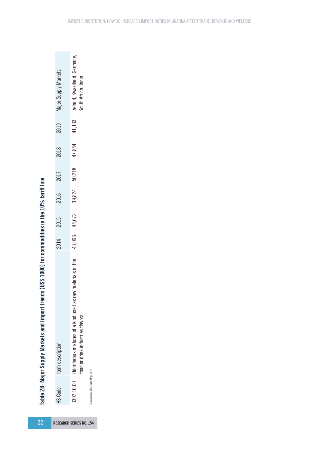| 22                             |                                  | ds (US\$ 1000) for commodities in the 10% tariff line<br>Table 2B: Major Supply Markets and Import trend |      |               |        |        |        |        |                                                     |
|--------------------------------|----------------------------------|----------------------------------------------------------------------------------------------------------|------|---------------|--------|--------|--------|--------|-----------------------------------------------------|
| <b>RESEARCH SERIES NO. 154</b> | HS Code                          | Item description                                                                                         | 2014 | 2015          | 2016   | 2017   | 2018   | 2019   | Major Supply Markets                                |
|                                | 3302.10.00                       | Odoriferous mixtures of a kind used as raw materials in the<br>food or drink industries flavors          |      | 43,096 44,672 | 39,824 | 50,218 | 47,844 | 41,133 | Ireland, Swaziland, Germany,<br>South Africa, India |
|                                | Data Source: ITC/Trade Map, 2020 |                                                                                                          |      |               |        |        |        |        |                                                     |

Data Source: ITC/Trade Map, 2020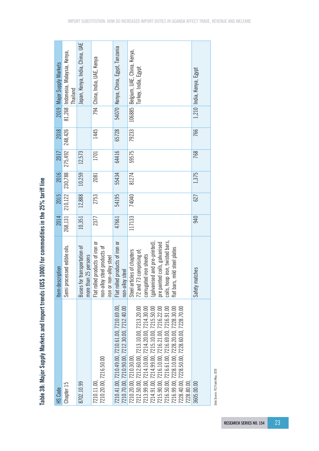| HS Code                                                                                                                                                                                                                                                                                                                                                                                    | Item description                                                                                                                                                                                                      | 2014    | 2015    | 2016    | 2017    | 2018    |        | 2019 Major Supply Markets                                  |
|--------------------------------------------------------------------------------------------------------------------------------------------------------------------------------------------------------------------------------------------------------------------------------------------------------------------------------------------------------------------------------------------|-----------------------------------------------------------------------------------------------------------------------------------------------------------------------------------------------------------------------|---------|---------|---------|---------|---------|--------|------------------------------------------------------------|
| Chapter 15                                                                                                                                                                                                                                                                                                                                                                                 | Semi processed edible oils.                                                                                                                                                                                           | 268,131 | 210,122 | 230,788 | 275,492 | 248,426 | 81,268 | Indonesia, Malaysia, Kenya,<br><b>Thailand</b>             |
| 8702.10.99                                                                                                                                                                                                                                                                                                                                                                                 | Buses for transportation of<br>more than 25 persons                                                                                                                                                                   | 10,351  | 12,888  | 10,259  | 12,573  |         |        | Japan, Kenya, India, China, UAE                            |
| 210.20.00, 7216.50.00<br>7210.11.00                                                                                                                                                                                                                                                                                                                                                        | Flat rolled products of iron or<br>non-alloy steel products of<br>iron or non-alloy steel                                                                                                                             | 2377    | 2753    | 2081    | 1701    | 1445    |        | 794   China, India, UAE, Kenya                             |
| 210.41.00.7210.49.00.7210.61.00.7210.69.00.<br>210.70.00, 7210.90.00, 7212.30.00, 7212.40.00                                                                                                                                                                                                                                                                                               | Flat rolled products of iron or<br>non-alloy steel                                                                                                                                                                    | 47661   | 54195   | 55434   | 64416   | 65728   |        | 54070   Kenya, China, Egypt, Tanzania                      |
| 212.50.00, 7212.60.00, 7213.10.00, 7213.20.00<br>213.99.00, 7214.10.00, 7214.20.00, 7214.30.00<br>216.99.00, 7228.10.00, 7228.20.00, 7228.30.00<br>228.40.00, 7228.50.00, 7228.60.00, 7228.70.00<br>214.91.00, 7214.99.00, 7215.10.00, 7215.50.00<br>215.90.00, 7216.10.00, 7216.21.00, 7216.22.00<br>216.50.00, 7216.61.00, 7216.69.00, 7216.91.00<br>210.20.00, 7210.30.00,<br>228.80.00 | coils, hoop iron, twisted bars,<br>(galvanised and pre-printed),<br>pre painted coils, galvanised<br>flat bars, mild steel plates<br>72 and 73 comprising of;<br>Steel articles of chapters<br>corrugated iron sheets | 117133  | 74040   | 81274   | 59575   | 79233   |        | 106885 Belgium, UAE, China, Kenya,<br>Turkey, India, Egypt |
| 3605.00.00                                                                                                                                                                                                                                                                                                                                                                                 | matches<br>Safety i                                                                                                                                                                                                   | 940     | 627     | 1,375   | 768     | 766     |        | 1,210 India, Kenya, Egypt                                  |

Table 3B: Major Supply Markets and Import trends (US\$ 1000) for commodities in the 25% tariff line **Table 3B: Major Supply Markets and Import trends (US\$ 1000) for commodities in the 25% tariff line**

Data Source: ITC/Trade Map, 2020 Data Source: ITC/Trade Map, 2020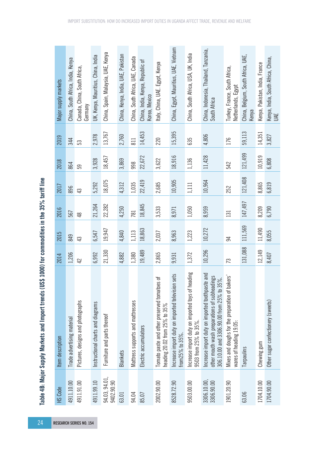|                                                     | Major supply markets | China, South Africa, India, Kenya | Canada, China, South Africa,<br>Germany | UK, Kenya, Mauritius, China, India | China, Spain, Malaysia, UAE, Kenya | China, Kenya, India, UAE, Pakistan | China, South Africa, UAE, Canada | China, India, Kenya, Republic of<br>Korea, Mexico | Italy, China, UAE. Egypt, Kenya                                                      | China, Egypt, Mauritius, UAE, Vietnam                               | China, South Africa, USA, UK, India                                       | China, Indonesia, Thailand, Tanzania,<br>South Africa                                                                                        | Turkey, France, South Africa,<br>Netherlands, Egypt                        | China, Belgium, South Africa, UAE,<br>Kenya | Kenya, Pakistan, India, France | Kenya, India, South Africa, China,<br>UÆ |
|-----------------------------------------------------|----------------------|-----------------------------------|-----------------------------------------|------------------------------------|------------------------------------|------------------------------------|----------------------------------|---------------------------------------------------|--------------------------------------------------------------------------------------|---------------------------------------------------------------------|---------------------------------------------------------------------------|----------------------------------------------------------------------------------------------------------------------------------------------|----------------------------------------------------------------------------|---------------------------------------------|--------------------------------|------------------------------------------|
|                                                     | 2019                 | 344                               | 53                                      | 2,978                              | 13,767                             | 2,760                              | 811                              | 14,453                                            | 220                                                                                  | 15,395                                                              | 635                                                                       | 4,806                                                                                                                                        | 176                                                                        | 59,113                                      | 14,351                         | 3,827                                    |
|                                                     | 2018                 | 864                               | 59                                      | 3,928                              | 18,457                             | 3,869                              | 998                              | 22,672                                            | 3,622                                                                                | 18,916                                                              | 1,136                                                                     | 11,428                                                                                                                                       | 542                                                                        | 121,499                                     | 10,919                         | 6,808                                    |
|                                                     | 2017                 | 896                               | 43                                      | 5,292                              | 18,075                             | 4,312                              | 1,035                            | 22,419                                            | 2,685                                                                                | 10,905                                                              | 1,111                                                                     | 10,964                                                                                                                                       | 252                                                                        | 121,408                                     | 8,865                          | 6,819                                    |
|                                                     | 2016                 | 567                               | $\frac{8}{3}$                           | 21,264                             | 22,282                             | 4,250                              | 781                              | 18,845                                            | 3,533                                                                                | 8,971                                                               | 1,050                                                                     | 8,959                                                                                                                                        | 131                                                                        | 147,497                                     | 8,209                          | 6,790                                    |
| S\$ 1000) for commodities in the 35% tariff line    | 2015                 | 849                               | 43                                      | 6,547                              | 19,947                             | 4,840                              | 1,113                            | 18,863                                            | 2,037                                                                                | 8,963                                                               | 1,223                                                                     | 10,272                                                                                                                                       | $\overline{5}$                                                             | 111,569                                     | 11,490                         | 8,055                                    |
|                                                     | 2014                 | 1,206                             | 42                                      | 6,992                              | 21,330                             | 4,882                              | 1,380                            | 19,489                                            | 2,865                                                                                | 9,931                                                               | 1,372                                                                     | 10,296                                                                                                                                       | 73                                                                         | 131,088                                     | 12,149                         | 8,407                                    |
| Table 4B: Major Supply Markets and Import trends (U | Item description     | Trade advertising material        | Pictures, designs and photographs       | Instructional charts and diagrams  | Furniture and parts thereof        | <b>Blankets</b>                    | Mattress supports and mattresses | Electric accumulators                             | ቴ<br>č,<br>Tomato paste and other preserved tomatoe<br>heading 20.02 from 25% to 35% | Increase import duty on imported television sets<br>from25% to 35%. | Increase import duty on imported toys of heading<br>9503 from 25% to 35%. | Increase import duty on imported toothpaste and<br>other mouth wash preparations of subheadings<br>306.10.00 and 3306.90.00 from 25% to 35%. | Mixes and doughs for the preparation of bakers'<br>wares of heading 19.05: | Tarpaulins                                  | Chewing gum                    | Other sugar confectionery (sweets)       |
|                                                     | HS Code              | 4911.10.00                        | 4911.91.00                              | 4911.99.10                         | 94.03, 94.01,<br>9402.90.90        | 63.01                              | 94.04                            | 85.07                                             | 2002.90.00                                                                           | 8528.72.90                                                          | 9503.00.00                                                                | 3306.10.00,<br>3306.90.00                                                                                                                    | 1901.20.90                                                                 | 63.06                                       | 1704.10.00                     | 1704.90.00                               |
| 24                                                  |                      |                                   | <b>RESEARCH SERIES NO. 154</b>          |                                    |                                    |                                    |                                  |                                                   |                                                                                      |                                                                     |                                                                           |                                                                                                                                              |                                                                            |                                             |                                |                                          |

Table 4B: Major Supply Markets and Import trends (US\$ 1000) for commodities in the 35% tariff line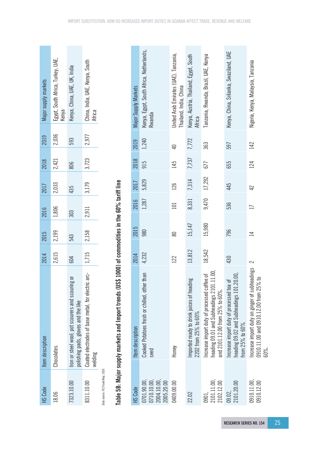| HS Code                          | Item description                                                                        | 2014  | 2015  | 2016  | 2017  | 2018  | 2019  | Major supply markets                       |
|----------------------------------|-----------------------------------------------------------------------------------------|-------|-------|-------|-------|-------|-------|--------------------------------------------|
| 18.06                            | Chocolates                                                                              | 2,615 | 2,199 | 1,806 | 2,033 | 2,421 | 2,036 | Egypt, South Africa, Turkey, UAE,<br>Kenya |
| 7323.10.00                       | Iron or steel wool; pot scourers and scouring or<br>polishing pads, gloves and the like | 604   | 543   | 303   | 435   | 806   | 593   | (enya, China, UAE, UK, India               |
| 8311.10.00                       | Coated electrodes of base metal, for electric arc-<br>  1,715<br>welding                |       | 2,158 | 2,911 | 3,179 | 3,723 | 2,977 | China, India, UAE, Kenya, South<br>Africa  |
| Data source: ITC/Trade Map, 2020 |                                                                                         |       |       |       |       |       |       |                                            |

# Table 5B: Major supply markets and Import trends (US\$ 1000) of commodities in the 60% tariff line **Table 5B: Major supply markets and Import trends (US\$ 1000) of commodities in the 60% tariff line**

| Major Supply Markets | Kenya, Egypt, South Africa, Netherlands,<br>Rwanda     | United Arab Emirates (UAE), Tanzania,<br>Thailand, India, China | Kenya, Austria, Thailand, Egypt, South<br>Africa                 | Tanzania, Rwanda, Brazil, UAE, Kenya                                                                                        | Kenya, China, Srilanka, Swaziland, UAE                                                                 | Nigeria, Kenya, Malaysia, Tanzania                                                             |
|----------------------|--------------------------------------------------------|-----------------------------------------------------------------|------------------------------------------------------------------|-----------------------------------------------------------------------------------------------------------------------------|--------------------------------------------------------------------------------------------------------|------------------------------------------------------------------------------------------------|
| 2019                 | 1,240                                                  | ₽                                                               | 7,772                                                            | 363                                                                                                                         | 597                                                                                                    | 142                                                                                            |
| 2018                 | 915                                                    | 145                                                             | 7,737                                                            | 677                                                                                                                         | 655                                                                                                    | 124                                                                                            |
| 2017                 | 5,829                                                  | 126                                                             | 7,314                                                            | 17,292                                                                                                                      | 445                                                                                                    | 42                                                                                             |
| 2016                 | 1,287                                                  | 101                                                             | 8,331                                                            | 9,470                                                                                                                       | 536                                                                                                    |                                                                                                |
| 2015                 | 980                                                    | 80                                                              | 15,147                                                           | 15,980                                                                                                                      | 796                                                                                                    | $\overline{\mathbb{1}}$                                                                        |
| 2014                 | 4,232                                                  | 122                                                             | 13,812                                                           | 18,542                                                                                                                      | 430                                                                                                    | 2                                                                                              |
| Item description     | Cooked Potatoes fresh or chilled, other than<br>seed   | Honey                                                           | mported ready to drink juices of heading<br>2202 from 25% to 60% | heading 09.01 and Subheadings 2101.11.00,<br>Increase import duty of processed coffee of<br>and 2101.12.00 from 25% to 60%. | heading 09.02 and Subheadings 101.20.00<br>Increase import duty of processed tea of<br>from 25% to 60% | Increase import duty on ginger of subheadings<br>0910.11.00 and 0910.12.00 from 25% to<br>60%. |
| HS Code              | 0710.10.00,<br>2004.10.00,<br>0701.90.00<br>2005.20.00 | 0409.00.00                                                      | 22.02                                                            | 2101.11.00<br>2102.12.00<br>0901,                                                                                           | 2101.20.00<br>09.02,                                                                                   | 0910.11.00,<br>0910.12.00                                                                      |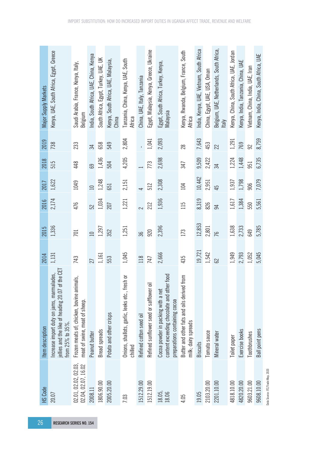| 26                             |                                             |                                                                                                                       |        |                 |        |                          |       |              |                                                   |
|--------------------------------|---------------------------------------------|-----------------------------------------------------------------------------------------------------------------------|--------|-----------------|--------|--------------------------|-------|--------------|---------------------------------------------------|
|                                | HS Code                                     | Item description                                                                                                      | 2014   | 2015            | 2016   | 2017                     | 2018  | 2019         | Major Supply Markets                              |
| <b>RESEARCH SERIES NO. 154</b> | 20.07                                       | of the CET<br>Increase import duty on jams, marmalades,<br>jellies and the like of heading 20.07<br>from 25% to 35%.  | 1,131  | 1,336           | 2,174  | 1,622                    | 515   | 738          | Kenya, UAE, South Africa, Egypt, Greece           |
|                                | 02.01, 02.02, 02.03,<br>02.04, 02.07, 16.02 | Frozen meats of, chicken, bovine animals,<br>meat of swine, meat of sheep.                                            | 743    | 701             | 476    | 1049                     | 448   | 233          | Saudi Arabia, France, Kenya, Italy,<br>Belgium    |
|                                | 2008.11                                     | Peanut butter                                                                                                         | 27     | $\overline{10}$ | 52     | $\Box$                   | 69    | 34           | India, South Africa, UAE, China, Kenya            |
|                                | 1806.90.00                                  | <b>Bread</b> spreads                                                                                                  | 1,161  | 1,297           | 1,034  | 1,248                    | 1,436 | 658          | South Africa, Egypt, Turkey, UAE, UK              |
|                                | 2005.20.00                                  | Potato and other crisps                                                                                               | 553    | 352             | 207    | 651                      | 504   | 549          | Kenya, South Africa, UAE, Malaysia,<br>China      |
|                                | 7.03                                        | Onions, shallots, garlic, leeks etc., fresh or<br>chilled                                                             | 1,045  | 1,251           | 1,221  | 2,151                    | 4,205 | 2,804        | Tanzania, China, Kenya, UAE, South<br>Africa      |
|                                | 1512.29.00                                  | Refined cotton seed oil                                                                                               | 118    | 36              | $\sim$ | $\overline{\phantom{0}}$ |       | $\mathbf{r}$ | China, UAE, Italy, Tanzania                       |
|                                | 1512.19.00                                  | ā<br>Refined sunflower seed or safflower                                                                              | 747    | 920             | 212    | 512                      | 773   | 1,041        | Egypt, Malaysia, Kenya, Greece, Ukraine           |
|                                | 18.05,<br>18.06                             | er food<br>content exceeding chocolate and oth<br>Cocoa powder in packing with a net<br>preparations containing cocoa | 2,666  | 2,396           | 1,936  | 2,308                    | 2,698 | 2,093        | Egypt, South Africa, Turkey, Kenya,<br>Malaysia   |
|                                | 4.05                                        | Butter and other fats and oils derived from<br>milk; dairy spreads                                                    | 435    | 173             | 115    | 104                      | 347   | 28           | Kenya, Rwanda, Belgium, France, South<br>Africa   |
|                                | 19.05                                       | <b>Biscuits</b>                                                                                                       | 19,721 | 12,853          | 8,319  | 10,442                   | 9,509 | 7,643        | India, Kenya, UAE, Vietnam, South Africa          |
|                                | 2103.20.00                                  | Tomato sauce                                                                                                          | 1,542  | 2,801           | 826    | 2,951                    | 2,422 | 453          | China, Egypt, UAE, USA, Oman                      |
|                                | 2201.10.00                                  | Mineral water                                                                                                         | 8      | 76              | 54     | 45                       | 34    | 22           | Belgium, UAE, Netherlands, South Africa,<br>Italy |
|                                | 4818.10.00                                  | Toilet paper                                                                                                          | 1,949  | 1,638           | 1,617  | 1,937                    | 1,224 | 1,291        | Kenya, China, South Africa, UAE, Jordan           |
|                                | 4820.20.00                                  | Exercise books                                                                                                        | 2,793  | 2,733           | 1,384  | 1,798                    | 1,448 | 769          | Kenya, India, Tanzania, China, UAE                |
|                                | 9603.21.00                                  | Toothbrushes                                                                                                          | 1,052  | 649             | 550    | 906                      | 951   | 92           | Vietnam, China, India, UAE, Iran                  |
|                                | 9608.10.00                                  | <b>Ball</b> point pens                                                                                                | 5,045  | 5,785           | 5,561  | 7,079                    | 6,735 | 8,759        | Kenya, India, China, South Africa, UAE            |
|                                | Data Source: ITC/Trade Map, 2020            |                                                                                                                       |        |                 |        |                          |       |              |                                                   |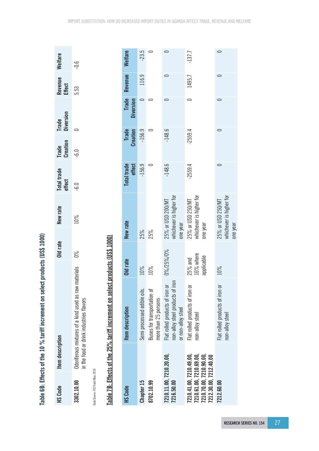| <b>HS Code</b>                                                                                          | Item description |                                                                                                 | Old rate                               | New rate                                                 | <b>Total trade</b><br>effect | <b>Creation</b><br>Trade        | Trade<br>Diversion        | Revenue<br><b>Effect</b> | Welfare    |
|---------------------------------------------------------------------------------------------------------|------------------|-------------------------------------------------------------------------------------------------|----------------------------------------|----------------------------------------------------------|------------------------------|---------------------------------|---------------------------|--------------------------|------------|
| 3302.10.00                                                                                              |                  | Odoriferous mixtures of a kind used as raw materials<br>in the food or drink industries flavors | $0\%$                                  | 10%                                                      | $-6.0$                       | $-6.0$                          | $\overline{\phantom{0}}$  | 5.53                     | $-0.6$     |
| Data Source: ITC/Trade Map, 2019                                                                        |                  |                                                                                                 |                                        |                                                          |                              |                                 |                           |                          |            |
|                                                                                                         |                  | Table 7B: Effects of the 25% tariff increment on sel                                            | ect products (US\$ 1000)               |                                                          |                              |                                 |                           |                          |            |
| <b>HS Code</b>                                                                                          |                  | Item description                                                                                | Old rate                               | New rate                                                 | effect<br><b>Total trade</b> | <b>Creation</b><br><b>Trade</b> | <b>Trade</b><br>Diversion | Revenue                  | Welfare    |
| Chapter 15                                                                                              |                  | Semi processed edible oils.                                                                     | 10%                                    | 25%                                                      | $-156.9$                     | $-156.9$                        | $\circ$                   | 116.9                    | $-23.5$    |
| 8702.10.99                                                                                              |                  | Buses for transportation of<br>more than 25 persons                                             | 10%                                    | 25%                                                      | 0                            |                                 | 0<br>0                    |                          | $\circ$    |
| 7210.11.00, 7210.20.00,<br>7216.50.00                                                                   |                  | iron<br>Flat rolled products of iron or<br>non-alloy steel products of<br>or non-alloy steel    | 0%/25%/0%                              | whichever is higher for<br>25% or USD 200/MT<br>one year | $-148.6$                     | $-148.6$                        | $\circ$                   | $\circ$                  | $\bigcirc$ |
| 7210.41.00, 7210.49.00,<br>7210.61.00, 7210.69.00,<br>7210.70.00, 7210.90.00,<br>7212.30.00, 7212.40.00 |                  | Flat rolled products of iron or<br>non-alloy steel                                              | $25%$ and<br>$10%$ where<br>applicable | whichever is higher for<br>25% or USD 250/MT<br>one year | $-2559.4$                    | $-2559.4$                       | 0                         | 1495.7                   | $-137.7$   |
| 7212.60.00                                                                                              |                  | Flat rolled products of iron or<br>non-alloy steel                                              | 10%                                    | whichever is higher for<br>25% or USD 250/MT<br>one year | $\circ$                      |                                 | $\circ$<br>$\circ$        | $\cup$                   | $\circ$    |

Table 6B: Effects of the 10 % tariff increment on select products (US\$ 1000) **Table 6B: Effects of the 10 % tariff increment on select products (US\$ 1000)**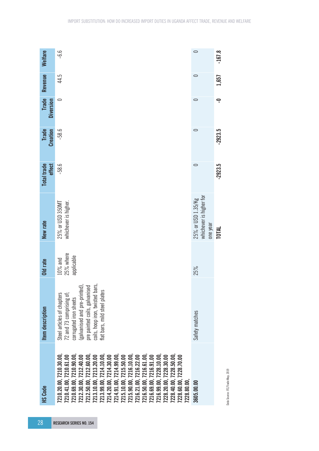| Welfare<br>Revenue |                  | -6.6<br>44.5                                                                                                                                                                                                                                                                                                                                                                                                                                                                                        | $\circ$                                                   | $-167.8$<br>1,657       |
|--------------------|------------------|-----------------------------------------------------------------------------------------------------------------------------------------------------------------------------------------------------------------------------------------------------------------------------------------------------------------------------------------------------------------------------------------------------------------------------------------------------------------------------------------------------|-----------------------------------------------------------|-------------------------|
| <b>Trade</b>       | <b>Diversion</b> | $\circ$                                                                                                                                                                                                                                                                                                                                                                                                                                                                                             | $\circ$                                                   | $\overline{\mathsf{P}}$ |
| <b>Trade</b>       | <b>Creation</b>  | $-58.6$                                                                                                                                                                                                                                                                                                                                                                                                                                                                                             | $\circ$                                                   | $-2923.5$               |
| <b>Total trade</b> | effect           | $-58.6$                                                                                                                                                                                                                                                                                                                                                                                                                                                                                             | $\circ$                                                   | $-2923.5$               |
| New rate           |                  | whichever is higher.<br>25% or USD 350MT                                                                                                                                                                                                                                                                                                                                                                                                                                                            | whichever is higher for<br>25% or USD 1.35/Kg<br>one year | TOTAL                   |
| Old rate           |                  | 25% where<br>applicable<br>$10\%$ and                                                                                                                                                                                                                                                                                                                                                                                                                                                               | 25%                                                       |                         |
| Item description   |                  | varvannsea anu pre-primieur,<br>pre painted coils, galvanised<br>coils, hoop iron, twisted bars,<br>(galvanised and pre-printed)<br>flat bars, mild steel plates<br>72 and 73 comprising of;<br>Steel articles of chapters<br>corrugated iron sheets                                                                                                                                                                                                                                                | Safety matches                                            |                         |
| <b>HS Code</b>     |                  | 7210.20.00, 7210.30.00,<br>7212.50.00, 7212.60.00,<br>7213.10.00, 7213.20.00<br>7213.99.00, 7214.10.00,<br>7214.91.00, 7214.99.00,<br>7216.50.00, 7216.61.00,<br>7216.99.00, 7228.10.00,<br>7228.40.00, 7228.50.00,<br>210.69.00, 7210.90.00<br>7212.30.00, 7212.40.00<br>7214.20.00, 7214.30.00<br>7216.69.00, 7216.91.00<br>7210.41.00, 7210.61.00<br>7215.10.00, 7215.50.00<br>7215.90.00, 7216.10.00,<br>7216.21.00, 7216.22.00<br>7228.20.00, 7228.30.00<br>228.60.00, 7228.70.00<br>228.80.00 | 3605.00.00                                                |                         |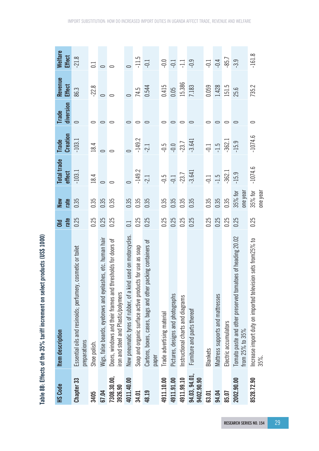| <b>HS Code</b>              | Item description                                                                                      | rate<br>$\overline{a}$ | rate<br>New         | <b>Total trade</b><br>effect | Creation<br><b>Trade</b> | diversion<br><b>Trade</b> | Revenue<br><b>Effect</b> | <b>Welfare</b><br><b>Effect</b> |
|-----------------------------|-------------------------------------------------------------------------------------------------------|------------------------|---------------------|------------------------------|--------------------------|---------------------------|--------------------------|---------------------------------|
| Chapter 33                  | Essential oils and resinoids; perfumery, cosmetic or toilet<br>preparations                           | 0.25                   | 0.35                | $-103.1$                     | $-103.1$                 | $\bigcirc$                | 86.3                     | $-21.8$                         |
| 3405                        | Shoe polish.                                                                                          | 0.25                   | 0.35                | 18.4                         | 18.4                     | 0                         | $-22.8$                  | $\overline{0}$ .                |
| 67.04                       | Wigs, false beards, eyebrows and eyelashes, etc. human hair                                           | 0.25                   | 0.35                | $\circ$                      | $\overline{\phantom{0}}$ |                           | $\bigcirc$               | $\circ$                         |
| 7308.30.00,<br>3926.90      | thresholds for doors of<br>Doors, windows and their frames and<br>iron and steel and Plastic/polymers | 0.25                   | 0.35                | $\circ$                      |                          | 0                         | $\circ$                  |                                 |
| 4011.40.00                  | New pneumatic tyres of rubber, of a kind used on motorcycles.                                         | $\overline{C}$         | 0.35                | $\overline{\phantom{0}}$     | $\overline{\phantom{0}}$ | 0                         | $\subset$                |                                 |
| 34.01                       | Soap and organic surface active products for use as soap                                              | 0.25                   | 0.35                | $-149.2$                     | $-149.2$                 | 0                         | 74.5                     | $-11.5$                         |
| 48.19                       | packing containers of<br>Cartons, boxes, cases, bags and other<br>paper                               | 0.25                   | 0.35                | $-2.1$                       | $-2.1$                   |                           | 0.544                    | $-0.1$                          |
| 4911.10.00                  | Trade advertising material                                                                            | 0.25                   | 0.35                | $-0.5$                       | $-0.5$                   | 0                         | 0.415                    | $-0.0$                          |
| 4911.91.00                  | Pictures, designs and photographs                                                                     | 0.25                   | 0.35                | $-0.1$                       | $-0.0$                   | 0                         | 0.05                     | $-0.1$                          |
| 4911.99.10                  | Instructional charts and diagrams                                                                     | 0.25                   | 0.35                | $-23.7$                      | $-23.7$                  | 0                         | 15.386                   | $\overline{\Box}$               |
| 94.03, 94.01,<br>9402.90.90 | Furniture and parts thereof                                                                           | 0.25                   | 0.35                | $-3.641$                     | $-3.641$                 | $\circ$                   | 7.183                    | $-0.9$                          |
| 63.01                       | <b>Blankets</b>                                                                                       | 0.25                   | 0.35                | $-0.1$                       | $-0.1$                   | 0                         | 0.059                    | $-0.1$                          |
| 94.04                       | Mattress supports and mattresses                                                                      | 0.25                   | 0.35                | $-1.5$                       | $-1.5$                   | 0                         | 1.428                    | $-0.4$                          |
| 85.07                       | Electric accumulators                                                                                 | 0.25                   | 0.35                | $-362.1$                     | $-362.1$                 | 0                         | 151.5                    | $-85.7$                         |
| 2002.90.00                  | latoes of heading 20.02<br>Tomato paste and other preserved tom<br>from 25% to 35%                    | 0.25                   | one year<br>35% for | $-15.9$                      | $-15.9$                  | $\bigcirc$                | 25.6                     | -3.9                            |
| 8528.72.90                  | Increase import duty on imported television sets from25% to<br>35%.                                   | 0.25                   | 35% for<br>one year | $-1074.6$                    | $-1074.6$                | 0                         | 735.2                    | $-161.8$                        |

Table 8B: Effects of the 35% tariff increment on select products (US\$ 1000) **Table 8B: Effects of the 35% tariff increment on select products (US\$ 1000)**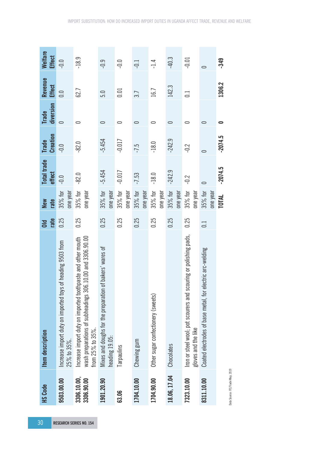| 30                             | <b>HS Code</b>            | Item description                                                                                                                             | rate<br>$\overline{a}$ | rate<br><b>New</b>  | <b>Total trade</b><br>effect | <b>Creation</b><br><b>Trade</b> | diversion<br><b>Trade</b> | Revenue<br><b>Effect</b> | <b>Welfare</b><br><b>Effect</b> |
|--------------------------------|---------------------------|----------------------------------------------------------------------------------------------------------------------------------------------|------------------------|---------------------|------------------------------|---------------------------------|---------------------------|--------------------------|---------------------------------|
|                                | 9503.00.00                | of heading 9503 from<br>Increase import duty on imported toys<br>25% to 35%.                                                                 | 0.25                   | one year<br>35% for | $-0.0$                       | $-0.0$                          | $\bigcirc$                | $\frac{0}{10}$           | $-0.0$                          |
| <b>RESEARCH SERIES NO. 154</b> | 3306.10.00,<br>3306.90.00 | wash preparations of subheadings 306.10.00 and 3306.90.00<br>Increase import duty on imported toothpaste and other mouth<br>from 25% to 35%. | 0.25                   | one year<br>35% for | $-82.0$                      | $-82.0$                         | 0                         | 62.7                     | $-18.9$                         |
|                                | 1901.20.90                | of bakers' wares of<br>Mixes and doughs for the preparation<br>heading 19.05:                                                                | 0.25                   | 35% for<br>one year | $-5.454$                     | $-5.454$                        | $\bigcirc$                | 5.0                      | $-0.9$                          |
|                                | 63.06                     | Tarpaulins                                                                                                                                   | 0.25                   | 35% for<br>one year | $-0.017$                     | $-0.017$                        | 0                         | 0.01                     | $-0.0$                          |
|                                | 1704.10.00                | Chewing gum                                                                                                                                  | 0.25                   | 35% for<br>one year | $-7.53$                      | $-7.5$                          | $\circ$                   | 3.7                      | $-0.1$                          |
|                                | 1704.90.00                | Other sugar confectionery (sweets)                                                                                                           | 0.25                   | 35% for<br>one year | $-18.0$                      | $-18.0$                         | 0                         | 16.7                     | $-1.4$                          |
|                                | 18.06, 17.04              | Chocolates                                                                                                                                   | 0.25                   | 35% for<br>one year | $-242.9$                     | $-242.9$                        | $\circ$                   | 142.3                    | $-40.3$                         |
|                                | 7323.10.00                | Iron or steel wool; pot scourers and scouring or polishing pads,<br>gloves and the like                                                      | 0.25                   | 35% for<br>one year | $-0.2$                       | $-0.2$                          | 0                         | $\Xi$                    | $-0.01$                         |
|                                | 8311.10.00                | Coated electrodes of base metal, for electric arc-welding                                                                                    | $\Xi$                  | 35% for<br>one year | $\circ$                      | $\circ$                         | 0                         |                          | $\circ$                         |
|                                |                           |                                                                                                                                              |                        | <b>TOTAL</b>        | $-2074.5$                    | $-2074.5$                       | 0                         | 1306.2                   | $-349$                          |

Data Source: ITC/Trade Map, 2019 Data Source: ITC/Trade Map, 2019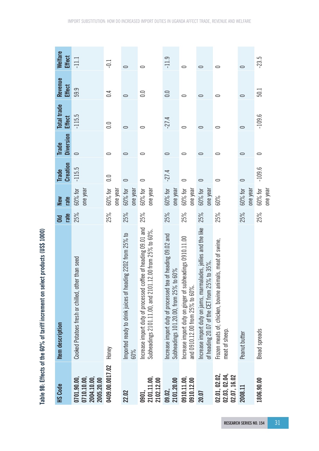| <b>ANGE 100</b>                                                               |
|-------------------------------------------------------------------------------|
|                                                                               |
|                                                                               |
|                                                                               |
|                                                                               |
|                                                                               |
|                                                                               |
|                                                                               |
|                                                                               |
|                                                                               |
|                                                                               |
|                                                                               |
|                                                                               |
|                                                                               |
|                                                                               |
|                                                                               |
|                                                                               |
|                                                                               |
|                                                                               |
|                                                                               |
|                                                                               |
|                                                                               |
|                                                                               |
|                                                                               |
| Table 9B: Effects of the 60% of tariff increment on select products (US\$ 10) |

| <b>HS Code</b>                                         | Item description                                                                                                         | rate<br>$\overline{\mathsf{I}}$ | rate<br>New         | <b>Creation</b><br><b>Trade</b> | <b>Diversion</b><br><b>Trade</b> | Total trade<br><b>Effect</b> | Revenue<br><b>Effect</b> | <b>Welfare</b><br><b>Effect</b> |
|--------------------------------------------------------|--------------------------------------------------------------------------------------------------------------------------|---------------------------------|---------------------|---------------------------------|----------------------------------|------------------------------|--------------------------|---------------------------------|
| 0701.90.00,<br>0710.10.00,<br>2004.10.00<br>2005.20.00 | Cooked Potatoes fresh or chilled, other than seed                                                                        | 25%                             | one year<br>60% for | $-115.5$                        | $\bigcirc$                       | $-115.5$                     | 59.9                     | $\equiv$                        |
| 0409.00.0017.02                                        | Honey                                                                                                                    | 25%                             | 60% for<br>one year | 0.0                             | 0                                | $\frac{0}{2}$                | $\overline{0.4}$         | $-0.1$                          |
| 22.02                                                  | Imported ready to drink juices of heading 2202 from 25% to<br>60%                                                        | 25%                             | one year<br>60% for | $\circ$                         | $\circ$                          | $\circ$                      | $\bigcirc$               | $\bigcirc$                      |
| 2101.11.00,<br>2102.12.00<br>0901,                     | Increase import duty of processed coffee of heading 09.01 and<br>Subheadings 2101.11.00, and 2101.12.00 from 25% to 60%. | 25%                             | one year<br>60% for | 0                               | 0                                | 0                            | 0.0                      | 0                               |
| 2101.20.00<br>09.02,                                   | ncrease import duty of processed tea of heading 09.02 and<br>to $60\%$<br>Subheadings 101.20.00, from 25% t              | 25%                             | one year<br>60% for | $-27.4$                         | 0                                | $-27.4$                      | 0.0                      | $-11.9$                         |
| 0910.11.00,<br>0910.12.00                              | Increase import duty on ginger of subheadings 0910.11.00<br>and 0910.12.00 from 25% to 60%.                              | 25%                             | 60% for<br>one year | 0                               | 0                                | $\circ$                      | 0                        | $\circ$                         |
| 20.07                                                  | Increase import duty on jams, marmalades, jellies and the like<br>of heading 20.07 of the CET from 25% to 35%.           | 25%                             | one year<br>60% for | 0                               | $\circ$                          | $\circ$                      | $\circ$                  | $\circ$                         |
| 02.01, 02.02, 02.04, 02.03, 02.04,<br>02.07, 16.02     | Frozen meats of, chicken, bovine animals, meat of swine,<br>meat of sheep.                                               | 25%                             | 60%                 |                                 | 0                                | $\circ$                      | 0                        | 0                               |
| 2008.11                                                | Peanut butter                                                                                                            | 25%                             | one year<br>60% for | $\circ$                         | 0                                | 0                            | 0                        | $\Rightarrow$                   |
| 1806.90.00                                             | <b>Bread spreads</b>                                                                                                     | 25%                             | 60% for<br>one year | $-109.6$                        | 0                                | $-109.6$                     | 50.1                     | $-23.5$                         |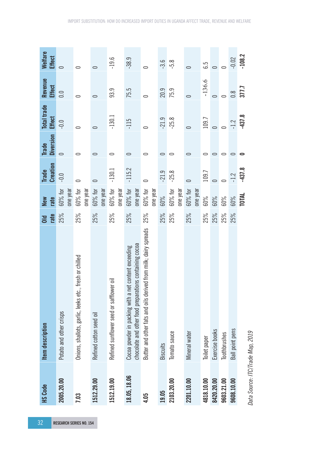| 32                             |                                  |                                                                                                                |                        |                     |                                 |                                  |                                     |                          |                                 |
|--------------------------------|----------------------------------|----------------------------------------------------------------------------------------------------------------|------------------------|---------------------|---------------------------------|----------------------------------|-------------------------------------|--------------------------|---------------------------------|
|                                | <b>HS Code</b>                   | Item description                                                                                               | rate<br>$\overline{a}$ | rate<br>New         | <b>Creation</b><br><b>Trade</b> | <b>Diversion</b><br><b>Trade</b> | <b>Total trade</b><br><b>Effect</b> | Revenue<br><b>Effect</b> | <b>Welfare</b><br><b>Effect</b> |
| <b>RESEARCH SERIES NO. 154</b> | 2005.20.00                       | Potato and other crisps                                                                                        | 25%                    | one year<br>60% for | $-0.0$                          | $\overline{\phantom{0}}$         | $-0.0$                              | 0.0                      | $\Rightarrow$                   |
|                                | 7.03                             | Onions, shallots, garlic, leeks etc., fresh or chilled                                                         | 25%                    | 60% for<br>one year | 0                               | 0                                | 0                                   | 0                        | 0                               |
|                                | 1512.29.00                       | Refined cotton seed oil                                                                                        | 25%                    | one year<br>60% for | $\circ$                         | 0                                | $\subset$                           | 0                        | 0                               |
|                                | 1512.19.00                       | Refined sunflower seed or safflower oil                                                                        | 25%                    | 60% for<br>one year | $-130.1$                        | 0                                | $-130.1$                            | 93.9                     | $-19.6$                         |
|                                | 18.05, 18.06                     | chocolate and other food preparations containing cocoa<br>Cocoa powder in packing with a net content exceeding | 25%                    | 60% for<br>one year | $-115.2$                        | 0                                | $-115$                              | 75.5                     | $-38.9$                         |
|                                | 4.05                             | Butter and other fats and oils derived from milk; dairy spreads                                                | 25%                    | 60% for<br>one year | $\circ$                         | 0                                | 0                                   | $\overline{\phantom{0}}$ | $\circ$                         |
|                                | 19.05                            | <b>Biscuits</b>                                                                                                | 25%                    | 60%                 | $-21.9$                         | $\circ$                          | $-21.9$                             | 20.9                     | $-3.6$                          |
|                                | 2103.20.00                       | Tomato sauce                                                                                                   | 25%                    | 60% for<br>one year | $-25.8$                         | 0                                | $-25.8$                             | 75.9                     | $-5.8$                          |
|                                | 2201.10.00                       | Mineral water                                                                                                  | 25%                    | 60% for<br>one year | $\circ$                         |                                  | 0                                   | $\overline{\phantom{0}}$ |                                 |
|                                | 4818.10.00                       | Toilet paper                                                                                                   | 25%                    | 60%                 | 109.7                           |                                  | 109.7                               | $-136.6$                 | 6.5                             |
|                                | 8420.20.00                       | Exercise books                                                                                                 | 25%                    | 60%                 | $\overline{\phantom{0}}$        | 0                                | $\circ$                             | $\circ$                  | $\overline{\phantom{0}}$        |
|                                | 9603.21.00                       | Toothbrushes                                                                                                   | 25%                    | 60%                 | $\circ$                         | 0                                | $\overline{C}$                      | 0                        |                                 |
|                                | 9608.10.00                       | Ball point pens                                                                                                | 25%                    | 60%                 | $-1.2$                          | 0                                | $-1.2$                              | $\frac{8}{10}$           | $-0.02$                         |
|                                | Data Source: ITC/Trade Map, 2019 |                                                                                                                |                        | TOTAL               | $-437.8$                        |                                  | $-437.8$                            | 377.7                    | $-108.2$                        |

IMPORT SUBSTITUTION: HOW DO INCREASED IMPORT DUTIES IN UGANDA AFFECT TRADE, REVENUE AND WELFARE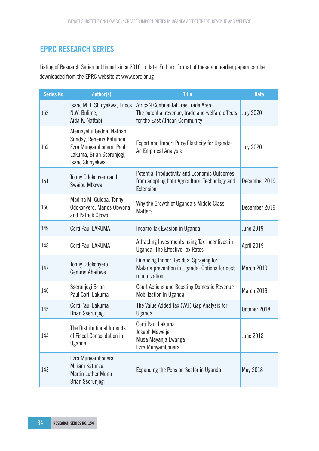# **EPRC RESEARCH SERIES**

Listing of Research Series published since 2010 to date. Full text format of these and earlier papers can be downloaded from the EPRC website at www.eprc.or.ug

| Series No. | Author(s)                                                                                                                     | <b>Title</b>                                                                                                               | <b>Date</b>      |
|------------|-------------------------------------------------------------------------------------------------------------------------------|----------------------------------------------------------------------------------------------------------------------------|------------------|
| 153        | Isaac M.B. Shinyekwa, Enock<br>N.W. Bulime,<br>Aida K. Nattabi                                                                | AfricaN Continental Free Trade Area:<br>The potential revenue, trade and welfare effects<br>for the East African Community | <b>July 2020</b> |
| 152        | Alemayehu Gedda, Nathan<br>Sunday, Rehema Kahunde,<br>Ezra Munyambonera, Paul<br>Lakuma, Brian Sserunjogi,<br>Isaac Shinyekwa | Export and Import Price Elasticity for Uganda:<br>An Empirical Analysis                                                    | <b>July 2020</b> |
| 151        | Tonny Odokonyero and<br>Swaibu Mbowa                                                                                          | <b>Potential Productivity and Economic Outcomes</b><br>from adopting both Agricultural Technology and<br>Extension         | December 2019    |
| 150        | Madina M. Guloba, Tonny<br>Odokonyero, Marios Obwona<br>and Patrick Olowo                                                     | Why the Growth of Uganda's Middle Class<br><b>Matters</b>                                                                  | December 2019    |
| 149        | Corti Paul LAKUMA                                                                                                             | Income Tax Evasion in Uganda                                                                                               | <b>June 2019</b> |
| 148        | Corti Paul LAKUMA                                                                                                             | Attracting Investments using Tax Incentives in<br>Uganda: The Effective Tax Rates                                          | April 2019       |
| 147        | Tonny Odokonyero<br>Gemma Ahaibwe                                                                                             | <b>Financing Indoor Residual Spraying for</b><br>Malaria prevention in Uganda: Options for cost<br>minimization            | March 2019       |
| 146        | Sserunjogi Brian<br>Paul Corti Lakuma                                                                                         | <b>Court Actions and Boosting Domestic Revenue</b><br>Mobilization in Uganda                                               | March 2019       |
| 145        | Corti Paul Lakuma<br>Brian Sserunjogi                                                                                         | The Value Added Tax (VAT) Gap Analysis for<br>Uganda                                                                       | October 2018     |
| 144        | The Distributional Impacts<br>of Fiscal Consolidation in<br>Uganda                                                            | Corti Paul Lakuma<br>Joseph Mawejje<br>Musa Mayanja Lwanga<br>Ezra Munyambonera                                            | <b>June 2018</b> |
| 143        | Ezra Munyambonera<br>Miriam Katunze<br><b>Martin Luther Munu</b><br>Brian Sserunjogi                                          | Expanding the Pension Sector in Uganda                                                                                     | May 2018         |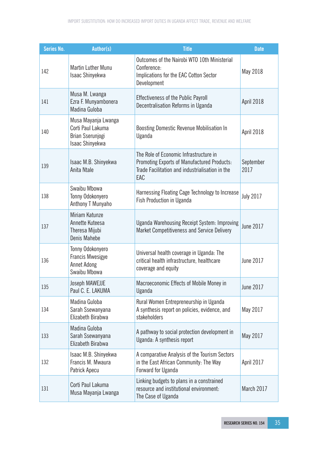| Series No. | <b>Author(s)</b>                                                                | <b>Title</b>                                                                                                                                    | <b>Date</b>       |
|------------|---------------------------------------------------------------------------------|-------------------------------------------------------------------------------------------------------------------------------------------------|-------------------|
| 142        | <b>Martin Luther Munu</b><br>Isaac Shinyekwa                                    | Outcomes of the Nairobi WTO 10th Ministerial<br>Conference:<br>Implications for the EAC Cotton Sector<br>Development                            | May 2018          |
| 141        | Musa M. Lwanga<br>Ezra F. Munyambonera<br>Madina Guloba                         | <b>Effectiveness of the Public Payroll</b><br>Decentralisation Reforms in Uganda                                                                | April 2018        |
| 140        | Musa Mayanja Lwanga<br>Corti Paul Lakuma<br>Brian Sserunjogi<br>Isaac Shinyekwa | Boosting Domestic Revenue Mobilisation In<br>Uganda                                                                                             | April 2018        |
| 139        | Isaac M.B. Shinyekwa<br>Anita Ntale                                             | The Role of Economic Infrastructure in<br>Promoting Exports of Manufactured Products:<br>Trade Facilitation and industrialisation in the<br>EAC | September<br>2017 |
| 138        | Swaibu Mbowa<br>Tonny Odokonyero<br>Anthony T Munyaho                           | Harnessing Floating Cage Technology to Increase<br><b>Fish Production in Uganda</b>                                                             | <b>July 2017</b>  |
| 137        | Miriam Katunze<br>Annette Kuteesa<br>Theresa Mijubi<br>Denis Mahebe             | <b>Uganda Warehousing Receipt System: Improving</b><br>Market Competitiveness and Service Delivery                                              | June 2017         |
| 136        | Tonny Odokonyero<br><b>Francis Mwesigye</b><br>Annet Adong<br>Swaibu Mbowa      | Universal health coverage in Uganda: The<br>critical health infrastructure, healthcare<br>coverage and equity                                   | June 2017         |
| 135        | Joseph MAWEJJE<br>Paul C. E. LAKUMA                                             | Macroeconomic Effects of Mobile Money in<br>Uganda                                                                                              | <b>June 2017</b>  |
| 134        | Madina Guloba<br>Sarah Ssewanyana<br>Elizabeth Birabwa                          | Rural Women Entrepreneurship in Uganda<br>A synthesis report on policies, evidence, and<br>stakeholders                                         | May 2017          |
| 133        | Madina Guloba<br>Sarah Ssewanyana<br>Elizabeth Birabwa                          | A pathway to social protection development in<br>Uganda: A synthesis report                                                                     | May 2017          |
| 132        | Isaac M.B. Shinyekwa<br>Francis M. Mwaura<br>Patrick Apecu                      | A comparative Analysis of the Tourism Sectors<br>in the East African Community: The Way<br>Forward for Uganda                                   | April 2017        |
| 131        | Corti Paul Lakuma<br>Musa Mayanja Lwanga                                        | Linking budgets to plans in a constrained<br>resource and institutional environment:<br>The Case of Uganda                                      | March 2017        |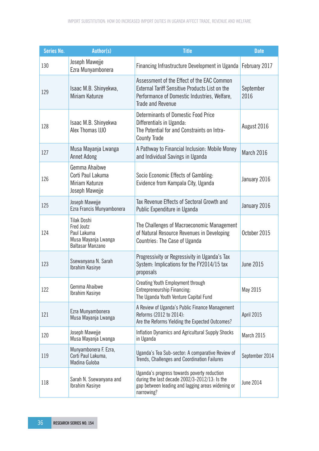| Series No. | Author(s)                                                                                         | <b>Title</b>                                                                                                                                                      | <b>Date</b>       |
|------------|---------------------------------------------------------------------------------------------------|-------------------------------------------------------------------------------------------------------------------------------------------------------------------|-------------------|
| 130        | Joseph Mawejje<br>Ezra Munyambonera                                                               | Financing Infrastructure Development in Uganda   February 2017                                                                                                    |                   |
| 129        | Isaac M.B. Shinyekwa,<br>Miriam Katunze                                                           | Assessment of the Effect of the EAC Common<br>External Tariff Sensitive Products List on the<br>Performance of Domestic Industries, Welfare,<br>Trade and Revenue | September<br>2016 |
| 128        | Isaac M.B. Shinyekwa<br>Alex Thomas IJJO                                                          | Determinants of Domestic Food Price<br>Differentials in Uganda:<br>The Potential for and Constraints on Intra-<br><b>County Trade</b>                             | August 2016       |
| 127        | Musa Mayanja Lwanga<br><b>Annet Adong</b>                                                         | A Pathway to Financial Inclusion: Mobile Money<br>and Individual Savings in Uganda                                                                                | March 2016        |
| 126        | Gemma Ahaibwe<br>Corti Paul Lakuma<br>Miriam Katunze<br>Joseph Mawejje                            | Socio Economic Effects of Gambling:<br>Evidence from Kampala City, Uganda                                                                                         | January 2016      |
| 125        | Joseph Mawejje<br>Ezra Francis Munyambonera                                                       | Tax Revenue Effects of Sectoral Growth and<br>Public Expenditure in Uganda                                                                                        | January 2016      |
| 124        | <b>Tilak Doshi</b><br><b>Fred Joutz</b><br>Paul Lakuma<br>Musa Mayanja Lwanga<br>Baltasar Manzano | The Challenges of Macroeconomic Management<br>of Natural Resource Revenues in Developing<br>Countries: The Case of Uganda                                         | October 2015      |
| 123        | Ssewanyana N. Sarah<br><b>Ibrahim Kasirye</b>                                                     | Progressivity or Regressivity in Uganda's Tax<br>System: Implications for the FY2014/15 tax<br>proposals                                                          | <b>June 2015</b>  |
| 122        | Gemma Ahaibwe<br>Ibrahim Kasirye                                                                  | Creating Youth Employment through<br>Entrepreneurship Financing:<br>The Uganda Youth Venture Capital Fund                                                         | May 2015          |
| 121        | Ezra Munyambonera<br>Musa Mayanja Lwanga                                                          | A Review of Uganda's Public Finance Management<br>Reforms (2012 to 2014):<br>Are the Reforms Yielding the Expected Outcomes?                                      | April 2015        |
| 120        | Joseph Mawejje<br>Musa Mayanja Lwanga                                                             | Inflation Dynamics and Agricultural Supply Shocks<br>in Uganda                                                                                                    | March 2015        |
| 119        | Munyambonera F. Ezra,<br>Corti Paul Lakuma,<br>Madina Guloba                                      | Uganda's Tea Sub-sector: A comparative Review of<br>Trends, Challenges and Coordination Failures                                                                  | September 2014    |
| 118        | Sarah N. Ssewanyana and<br>Ibrahim Kasirye                                                        | Uganda's progress towards poverty reduction<br>during the last decade 2002/3-2012/13: Is the<br>gap between leading and lagging areas widening or<br>narrowing?   | <b>June 2014</b>  |